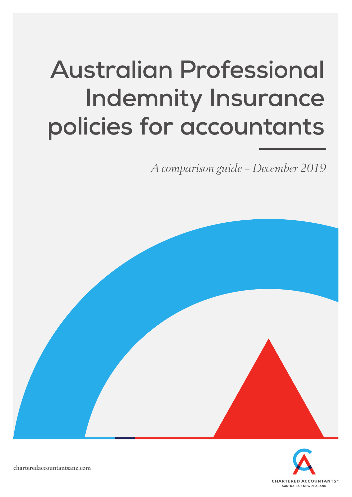# **Australian Professional Indemnity Insurance policies for accountants**

*A comparison guide – December 2019*





charteredaccountantsanz.com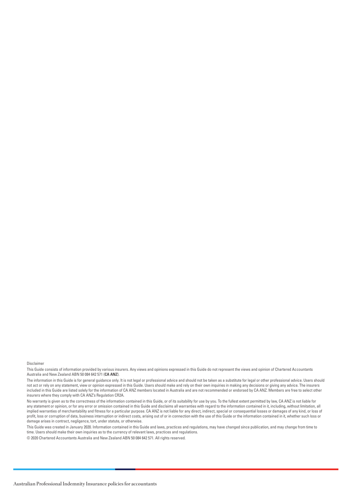Disclaimer

This Guide consists of information provided by various insurers. Any views and opinions expressed in this Guide do not represent the views and opinion of Chartered Accountants Australia and New Zealand ABN 50 084 642 571 (**CA ANZ**).

The information in this Guide is for general guidance only. It is not legal or professional advice and should not be taken as a substitute for legal or other professional advice. Users should not act or rely on any statement, view or opinion expressed in this Guide. Users should make and rely on their own inquiries in making any decisions or giving any advice. The insurers included in this Guide are listed solely for the information of CA ANZ members located in Australia and are not recommended or endorsed by CA ANZ. Members are free to select other insurers where they comply with CA ANZ's Regulation CR2A.

No warranty is given as to the correctness of the information contained in this Guide, or of its suitability for use by you. To the fullest extent permitted by law, CA ANZ is not liable for any statement or opinion, or for any error or omission contained in this Guide and disclaims all warranties with regard to the information contained in it, including, without limitation, all implied warranties of merchantability and fitness for a particular purpose. CA ANZ is not liable for any direct, indirect, special or consequential losses or damages of any kind, or loss of profit, loss or corruption of data, business interruption or indirect costs, arising out of or in connection with the use of this Guide or the information contained in it, whether such loss or damage arises in contract, negligence, tort, under statute, or otherwise.

This Guide was created in January 2020. Information contained in this Guide and laws, practices and regulations, may have changed since publication, and may change from time to time. Users should make their own inquiries as to the currency of relevant laws, practices and regulations.

© 2020 Chartered Accountants Australia and New Zealand ABN 50 084 642 571. All rights reserved.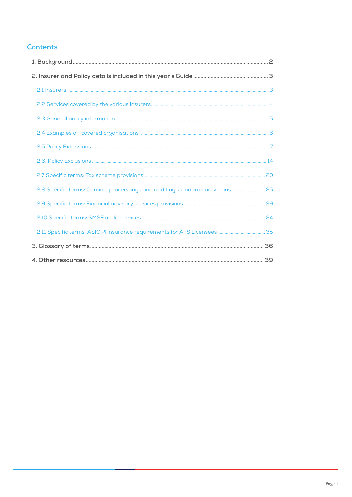## **Contents**

| 2.8 Specific terms: Criminal proceedings and auditing standards provisions 25 |  |
|-------------------------------------------------------------------------------|--|
|                                                                               |  |
|                                                                               |  |
|                                                                               |  |
|                                                                               |  |
|                                                                               |  |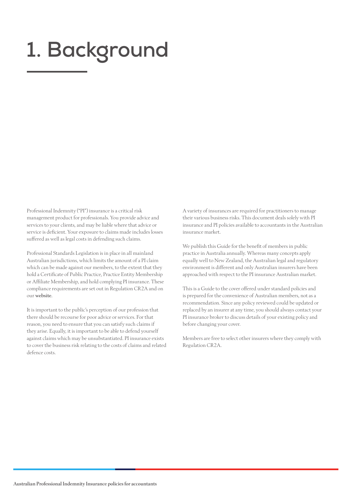# <span id="page-3-0"></span>**1. Background**

Professional Indemnity ("PI") insurance is a critical risk management product for professionals. You provide advice and services to your clients, and may be liable where that advice or service is deficient. Your exposure to claims made includes losses suffered as well as legal costs in defending such claims.

Professional Standards Legislation is in place in all mainland Australian jurisdictions, which limits the amount of a PI claim which can be made against our members, to the extent that they hold a Certificate of Public Practice, Practice Entity Membership or Affiliate Membership, and hold complying PI insurance. These compliance requirements are set out in Regulation CR2A and on our [website](http://www.charteredaccountants.com.au/Industry-Topics/Practice-management/Professional-indemnity-insurance.aspx).

It is important to the public's perception of our profession that there should be recourse for poor advice or services. For that reason, you need to ensure that you can satisfy such claims if they arise. Equally, it is important to be able to defend yourself against claims which may be unsubstantiated. PI insurance exists to cover the business risk relating to the costs of claims and related defence costs.

A variety of insurances are required for practitioners to manage their various business risks. This document deals solely with PI insurance and PI policies available to accountants in the Australian insurance market.

We publish this Guide for the benefit of members in public practice in Australia annually. Whereas many concepts apply equally well to New Zealand, the Australian legal and regulatory environment is different and only Australian insurers have been approached with respect to the PI insurance Australian market.

This is a Guide to the cover offered under standard policies and is prepared for the convenience of Australian members, not as a recommendation. Since any policy reviewed could be updated or replaced by an insurer at any time, you should always contact your PI insurance broker to discuss details of your existing policy and before changing your cover.

Members are free to select other insurers where they comply with Regulation CR2A.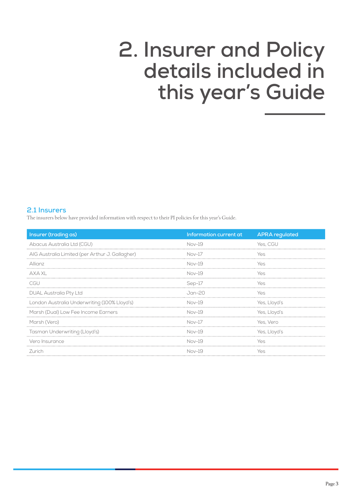# <span id="page-4-0"></span>**2. Insurer and Policy details included in this year's Guide**

## **2.1 Insurers**

The insurers below have provided information with respect to their PI policies for this year's Guide.

| Insurer (trading as)                            | Information current at | <b>APRA</b> regulated |
|-------------------------------------------------|------------------------|-----------------------|
| Abacus Australia Ltd (CGU)                      | Nov-19                 | Yes. CGU              |
| AIG Australia Limited (per Arthur J. Gallagher) | $Nov-17$               | YΑς                   |
| Allianz                                         | Nov-19                 | Yes                   |
| AXA XL                                          | Nov-19                 | Yes                   |
| CGU                                             | Sep-17                 | Yes                   |
| DUAL Australia Pty Ltd                          | Jan-20                 | Yes                   |
| London Australia Underwriting (100% Lloyd's)    | $Nov-19$               | Yes, Lloyd's          |
| Marsh (Dual) Low Fee Income Earners             | Nov-19                 | Yes, Lloyd's          |
| Marsh (Vero)                                    | $Nov-17$               | Yes, Vero             |
| Tasman Underwriting (Lloyd's)                   | Nov-19                 | Yes, Lloyd's          |
| Vero Insurance                                  | Nov-19                 | Yes                   |
| Zurich                                          | Nov-19                 | Yes                   |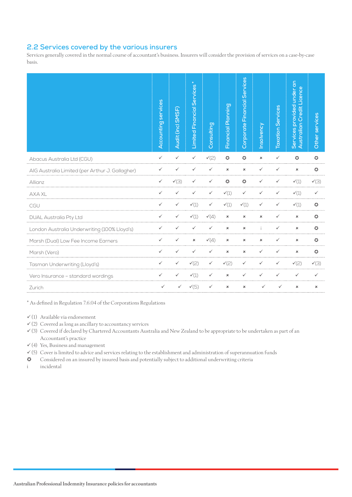## <span id="page-5-0"></span>**2.2 Services covered by the various insurers**

Services generally covered in the normal course of accountant's business. Insurers will consider the provision of services on a case-by-case basis.

|                                                 | Accounting services | Audit (incl SMSF) | $\star$<br><b>Limited Financial Services</b> | Consulting      | Financial Planning | Corporate Financial Services | Insolvency                | <b>Taxation Services</b> | provided under an<br>Credit Licence<br>Australian<br>Services | Other services   |
|-------------------------------------------------|---------------------|-------------------|----------------------------------------------|-----------------|--------------------|------------------------------|---------------------------|--------------------------|---------------------------------------------------------------|------------------|
| Abacus Australia Ltd (CGU)                      | $\checkmark$        | $\checkmark$      | $\checkmark$                                 | $\checkmark(2)$ | $\circ$            | $\ddot{\mathbf{C}}$          | $\pmb{\times}$            | ✓                        | $\circ$                                                       | $\bullet$        |
| AIG Australia Limited (per Arthur J. Gallagher) | ✓                   | ✓                 | ✓                                            | ✓               | $\mathbf x$        | $\mathbf x$                  | ✓                         | ✓                        | $\boldsymbol{\mathsf{x}}$                                     | $\bullet$        |
| Allianz                                         |                     | $\checkmark$ (3)  | ✓                                            | ✓               | $\circ$            | $\bullet$                    | $\checkmark$              |                          | $\checkmark(1)$                                               | $\checkmark$ (3) |
| <b>AXA XL</b>                                   | ✓                   | ✓                 | ✓                                            | ✓               | $\checkmark(1)$    | ✓                            | ✓                         |                          | $\checkmark(1)$                                               | ✓                |
| CGU                                             | ✓                   |                   | $\checkmark(1)$                              | ✓               | $\checkmark(1)$    | $\checkmark(1)$              | $\checkmark$              |                          | $\checkmark(1)$                                               | $\bullet$        |
| <b>DUAL Australia Pty Ltd</b>                   | ✓                   |                   | $\checkmark(1)$                              | $\checkmark(4)$ | $\pmb{\times}$     | $\pmb{\times}$               | $\boldsymbol{\mathsf{x}}$ | ✓                        | $\pmb{\times}$                                                | $\circ$          |
| London Australia Underwriting (100% Lloyd's)    | ✓                   |                   | ✓                                            | ✓               | $\pmb{\times}$     | $\mathbf x$                  |                           | ✓                        | $\mathbf x$                                                   | $\circ$          |
| Marsh (Dual) Low Fee Income Earners             | ✓                   |                   | $\pmb{\times}$                               | $\checkmark(4)$ | $\pmb{\times}$     | $\pmb{\times}$               | $\pmb{\times}$            |                          | $\pmb{\times}$                                                | $\circ$          |
| Marsh (Vero)                                    | ✓                   |                   | $\checkmark$                                 | ✓               | $\pmb{\times}$     | $\mathbf x$                  | $\checkmark$              | ✓                        | $\pmb{\times}$                                                | $\circ$          |
| Tasman Underwriting (Lloyd's)                   | ✓                   |                   | $\sqrt{2}$                                   | ✓               | $\checkmark(2)$    | ✓                            | ✓                         |                          | $\checkmark(2)$                                               | $\checkmark$ (3) |
| Vero Insurance - standard wordings              |                     |                   | $\checkmark(1)$                              | ✓               | $\pmb{\times}$     | ✓                            | ✓                         |                          | ✓                                                             |                  |
| Zurich                                          | ✓                   | ✓                 | $\checkmark(5)$                              | ✓               | $\pmb{\times}$     | $\pmb{\times}$               |                           |                          | $\pmb{\times}$                                                | $\pmb{\times}$   |

\* As defined in Regulation 7.6.04 of the Corporations Regulations

 $\checkmark$ (1) Available via endorsement

 $(2)$  Covered as long as ancillary to accountancy services

 (3) Covered if declared by Chartered Accountants Australia and New Zealand to be appropriate to be undertaken as part of an Accountant's practice

 $\checkmark$  (4) Yes, Business and management

 $(5)$  Cover is limited to advice and services relating to the establishment and administration of superannuation funds

Considered on an insured by insured basis and potentially subject to additional underwriting criteria

i incidental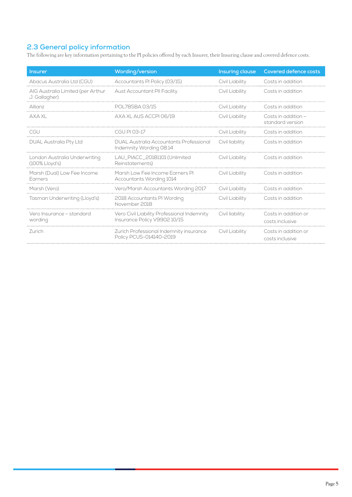## <span id="page-6-0"></span>**2.3 General policy information**

The following are key information pertaining to the PI policies offered by each Insurer, their Insuring clause and covered defence costs.

| <b>Insurer</b>                                     | Wording/version                                                             | Insuring clause | <b>Covered defence costs</b>            |
|----------------------------------------------------|-----------------------------------------------------------------------------|-----------------|-----------------------------------------|
| Abacus Australia Ltd (CGU)                         | Accountants PI Policy (03/15)                                               | Civil Liability | Costs in addition                       |
| AIG Australia Limited (per Arthur<br>J. Gallagher) | Aust Accountant PII Facility                                                | Civil Liability | Costs in addition                       |
| Allianz                                            | POL785BA 03/15                                                              | Civil Liability | Costs in addition                       |
| AXA XL                                             | AXA XL AUS ACCPI 06/19                                                      | Civil Liability | Costs in addition -<br>standard version |
| CGU                                                | CGU PI 03-17                                                                | Civil Liability | Costs in addition                       |
| <b>DUAL Australia Pty Ltd</b>                      | DUAL Australia Accountants Professional<br>Indemnity Wording 08.14          | Civil liability | Costs in addition                       |
| London Australia Underwriting<br>$(100\%$ Lloyd's) | LAU_PIACC_20181101 (Unlimited<br>Reinstatements)                            | Civil Liability | Costs in addition                       |
| Marsh (Dual) Low Fee Income<br><b>Earners</b>      | Marsh Low Fee Income Earners PI<br>Accountants Wording 1014                 | Civil Liability | Costs in addition                       |
| Marsh (Vero)                                       | Vero/Marsh Accountants Wording 2017                                         | Civil Liability | Costs in addition                       |
| Tasman Underwriting (Lloyd's)                      | 2018 Accountants PI Wording<br>November 2018                                | Civil Liability | Costs in addition                       |
| Vero Insurance - standard<br>wording               | Vero Civil Liability Professional Indemnity<br>Insurance Policy V9902 10/15 | Civil liability | Costs in addition or<br>costs inclusive |
| <b>Zurich</b>                                      | Zurich Professional Indemnity insurance<br>Policy PCUS-014140-2019          | Civil Liability | Costs in addition or<br>costs inclusive |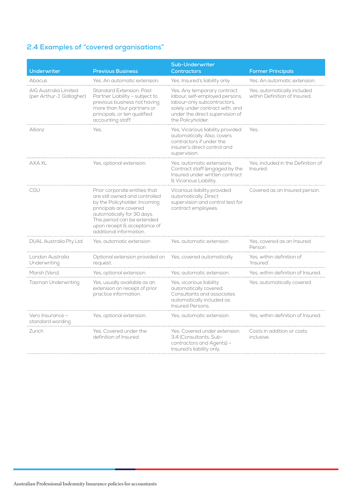## <span id="page-7-0"></span>**2.4 Examples of "covered organisations"**

| <b>Underwriter</b>                                 | <b>Previous Business</b>                                                                                                                                                                                                                           | <b>Sub-Underwriter</b><br><b>Contractors</b>                                                                                                                                            | <b>Former Principals</b>                                     |
|----------------------------------------------------|----------------------------------------------------------------------------------------------------------------------------------------------------------------------------------------------------------------------------------------------------|-----------------------------------------------------------------------------------------------------------------------------------------------------------------------------------------|--------------------------------------------------------------|
| Abacus                                             | Yes. An automatic extension.                                                                                                                                                                                                                       | Yes. Insured's liability only.                                                                                                                                                          | Yes. An automatic extension.                                 |
| AIG Australia Limited<br>(per Arthur J. Gallagher) | Standard Extension: Past<br>Partner Liability - subject to<br>previous business not having<br>more than four partners or<br>principals, or ten qualified<br>accounting staff.                                                                      | Yes. Any temporary contract<br>labour, self-employed persons,<br>labour-only subcontractors,<br>solely under contract with, and<br>under the direct supervision of<br>the Policyholder. | Yes, automatically included<br>within Definition of Insured. |
| Allianz                                            | Yes.                                                                                                                                                                                                                                               | Yes, Vicarious liability provided<br>automatically. Also, covers<br>contractors if under the<br>insurer's direct control and<br>supervision.                                            | Yes.                                                         |
| AXA XL                                             | Yes, optional extension.                                                                                                                                                                                                                           | Yes, automatic extensions.<br>Contract staff (engaged by the<br>Insured under written contract<br>& Vicarious Liability.                                                                | Yes, included in the Definition of<br>Insured.               |
| CGU                                                | Prior corporate entities that<br>are still owned and controlled<br>by the Policyholder. Incoming<br>principals are covered<br>automatically for 30 days.<br>This period can be extended<br>upon receipt & acceptance of<br>additional information. | Vicarious liability provided<br>automatically. Direct<br>supervision and control test for<br>contract employees.                                                                        | Covered as an Insured person.                                |
| <b>DUAL Australia Pty Ltd</b>                      | Yes, automatic extension                                                                                                                                                                                                                           | Yes, automatic extension                                                                                                                                                                | Yes, covered as an Insured<br>Person                         |
| London Australia<br>Underwriting                   | Optional extension provided on<br>request.                                                                                                                                                                                                         | Yes, covered automatically.                                                                                                                                                             | Yes, within definition of<br>'Insured'.                      |
| Marsh (Vero)                                       | Yes, optional extension.                                                                                                                                                                                                                           | Yes, automatic extension.                                                                                                                                                               | Yes, within definition of Insured                            |
| Tasman Underwriting                                | Yes, usually available as an<br>extension on receipt of prior<br>practice information.                                                                                                                                                             | Yes, vicarious liability<br>automatically covered.<br>Consultants and associates<br>automatically included as<br>Insured Persons.                                                       | Yes, automatically covered.                                  |
| Vero Insurance -<br>standard wording               | Yes, optional extension.                                                                                                                                                                                                                           | Yes, automatic extension.                                                                                                                                                               | Yes, within definition of Insured.                           |
| Zurich                                             | Yes. Covered under the<br>definition of Insured.                                                                                                                                                                                                   | Yes. Covered under extension<br>3.4 (Consultants, Sub-<br>contractors and Agents) -<br>Insured's liability only.                                                                        | Costs in addition or costs<br>inclusive.                     |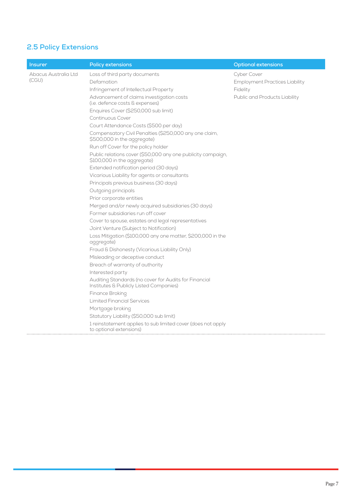## <span id="page-8-0"></span>**2.5 Policy Extensions**

| <b>Insurer</b>       | <b>Policy extensions</b>                                                                         | <b>Optional extensions</b>            |
|----------------------|--------------------------------------------------------------------------------------------------|---------------------------------------|
| Abacus Australia Ltd | Loss of third party documents                                                                    | Cyber Cover                           |
| (CGU)                | Defamation                                                                                       | <b>Employment Practices Liability</b> |
|                      | Infringement of Intellectual Property                                                            | Fidelity                              |
|                      | Advancement of claims investigation costs<br>(i.e. defence costs & expenses)                     | Public and Products Liability         |
|                      | Enquires Cover (\$250,000 sub limit)                                                             |                                       |
|                      | Continuous Cover                                                                                 |                                       |
|                      | Court Attendance Costs (\$500 per day)                                                           |                                       |
|                      | Compensatory Civil Penalties (\$250,000 any one claim,<br>\$500,000 in the aggregate)            |                                       |
|                      | Run off Cover for the policy holder                                                              |                                       |
|                      | Public relations cover (\$50,000 any one publicity campaign,<br>\$100,000 in the aggregate)      |                                       |
|                      | Extended notification period (30 days)                                                           |                                       |
|                      | Vicarious Liability for agents or consultants                                                    |                                       |
|                      | Principals previous business (30 days)                                                           |                                       |
|                      | Outgoing principals                                                                              |                                       |
|                      | Prior corporate entities                                                                         |                                       |
|                      | Merged and/or newly acquired subsidiaries (30 days)                                              |                                       |
|                      | Former subsidiaries run off cover                                                                |                                       |
|                      | Cover to spouse, estates and legal representatives                                               |                                       |
|                      | Joint Venture (Subject to Notification)                                                          |                                       |
|                      | Loss Mitigation (\$100,000 any one matter, \$200,000 in the<br>aggregate)                        |                                       |
|                      | Fraud & Dishonesty (Vicarious Liability Only)                                                    |                                       |
|                      | Misleading or deceptive conduct                                                                  |                                       |
|                      | Breach of warranty of authority                                                                  |                                       |
|                      | Interested party                                                                                 |                                       |
|                      | Auditing Standards (no cover for Audits for Financial<br>Institutes & Publicly Listed Companies) |                                       |
|                      | Finance Broking                                                                                  |                                       |
|                      | <b>Limited Financial Services</b>                                                                |                                       |
|                      | Mortgage broking                                                                                 |                                       |
|                      | Statutory Liability (\$50,000 sub limit)                                                         |                                       |
|                      | 1 reinstatement applies to sub limited cover (does not apply<br>to optional extensions)          |                                       |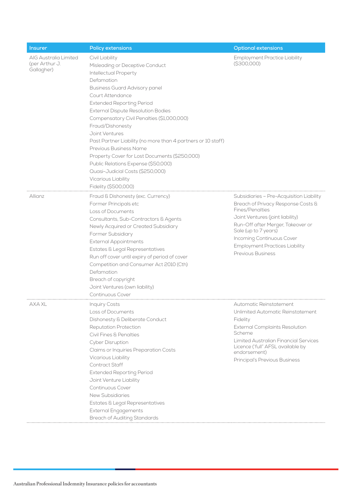| <b>Insurer</b>                                        | <b>Policy extensions</b>                                                                                                                                                                                                                                                                                                                                                                                                                                                                                                                                                                               | <b>Optional extensions</b>                                                                                                                                                                                                                                                                           |
|-------------------------------------------------------|--------------------------------------------------------------------------------------------------------------------------------------------------------------------------------------------------------------------------------------------------------------------------------------------------------------------------------------------------------------------------------------------------------------------------------------------------------------------------------------------------------------------------------------------------------------------------------------------------------|------------------------------------------------------------------------------------------------------------------------------------------------------------------------------------------------------------------------------------------------------------------------------------------------------|
| AIG Australia Limited<br>(per Arthur J.<br>Gallagher) | Civil Liability<br>Misleading or Deceptive Conduct<br><b>Intellectual Property</b><br>Defamation<br><b>Business Guard Advisory panel</b><br>Court Attendance<br><b>Extended Reporting Period</b><br><b>External Dispute Resolution Bodies</b><br>Compensatory Civil Penalties (\$1,000,000)<br>Fraud/Dishonesty<br>Joint Ventures<br>Past Partner Liability (no more than 4 partners or 10 staff)<br>Previous Business Name<br>Property Cover for Lost Documents (\$250,000)<br>Public Relations Expense (\$50,000)<br>Quasi-Judicial Costs (\$250,000)<br>Vicarious Liability<br>Fidelity (\$500,000) | <b>Employment Practice Liability</b><br>(S300,000)                                                                                                                                                                                                                                                   |
| Allianz                                               | Fraud & Dishonesty (exc. Currency)<br>Former Principals etc<br>Loss of Documents<br>Consultants, Sub-Contractors & Agents<br>Newly Acquired or Created Subsidiary<br>Former Subsidiary<br><b>External Appointments</b><br>Estates & Legal Representatives<br>Run off cover until expiry of period of cover<br>Competition and Consumer Act 2010 (Cth)<br>Defamation<br>Breach of copyright<br>Joint Ventures (own liability)<br>Continuous Cover                                                                                                                                                       | Subsidiaries - Pre-Acquisition Liability<br>Breach of Privacy Response Costs &<br>Fines/Penalties<br>Joint Ventures (joint liability)<br>Run-Off after Merger, Takeover or<br>Sale (up to 7 years)<br>Incoming Continuous Cover<br><b>Employment Practices Liability</b><br><b>Previous Business</b> |
| AXA XL                                                | <b>Inquiry Costs</b><br>Loss of Documents<br>Dishonesty & Deliberate Conduct<br><b>Reputation Protection</b><br>Civil Fines & Penalties<br><b>Cyber Disruption</b><br>Claims or Inquiries Preparation Costs<br>Vicarious Liability<br>Contract Staff<br><b>Extended Reporting Period</b><br>Joint Venture Liability<br><b>Continuous Cover</b><br><b>New Subsidiaries</b><br>Estates & Legal Representatives<br>External Engagements<br><b>Breach of Auditing Standards</b>                                                                                                                            | Automatic Reinstatement<br>Unlimited Automatic Reinstatement<br>Fidelity<br><b>External Complaints Resolution</b><br>Scheme<br>Limited Australian Financial Services<br>Licence ('full" AFSL available by<br>endorsement)<br>Principal's Previous Business                                           |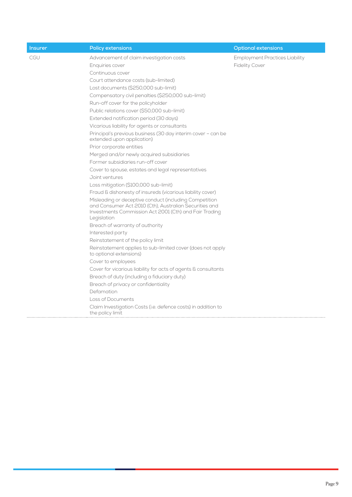| <b>Insurer</b> | <b>Policy extensions</b>                                                                                                                                                                  | Optional extensions                   |
|----------------|-------------------------------------------------------------------------------------------------------------------------------------------------------------------------------------------|---------------------------------------|
| CGU            | Advancement of claim investigation costs                                                                                                                                                  | <b>Employment Practices Liability</b> |
|                | Enquiries cover                                                                                                                                                                           | <b>Fidelity Cover</b>                 |
|                | Continuous cover                                                                                                                                                                          |                                       |
|                | Court attendance costs (sub-limited)                                                                                                                                                      |                                       |
|                | Lost documents (\$250,000 sub-limit)                                                                                                                                                      |                                       |
|                | Compensatory civil penalties (\$250,000 sub-limit)                                                                                                                                        |                                       |
|                | Run-off cover for the policyholder                                                                                                                                                        |                                       |
|                | Public relations cover (\$50,000 sub-limit)                                                                                                                                               |                                       |
|                | Extended notification period (30 days)                                                                                                                                                    |                                       |
|                | Vicarious liability for agents or consultants                                                                                                                                             |                                       |
|                | Principal's previous business (30 day interim cover - can be<br>extended upon application)                                                                                                |                                       |
|                | Prior corporate entities                                                                                                                                                                  |                                       |
|                | Merged and/or newly acquired subsidiaries                                                                                                                                                 |                                       |
|                | Former subsidiaries run-off cover                                                                                                                                                         |                                       |
|                | Cover to spouse, estates and legal representatives                                                                                                                                        |                                       |
|                | Joint ventures                                                                                                                                                                            |                                       |
|                | Loss mitigation (\$100,000 sub-limit)                                                                                                                                                     |                                       |
|                | Fraud & dishonesty of insureds (vicarious liability cover)                                                                                                                                |                                       |
|                | Misleading or deceptive conduct (including Competition<br>and Consumer Act 2010 (Cth), Australian Securities and<br>Investments Commission Act 2001 (Cth) and Fair Trading<br>Legislation |                                       |
|                | Breach of warranty of authority                                                                                                                                                           |                                       |
|                | Interested party                                                                                                                                                                          |                                       |
|                | Reinstatement of the policy limit                                                                                                                                                         |                                       |
|                | Reinstatement applies to sub-limited cover (does not apply<br>to optional extensions)                                                                                                     |                                       |
|                | Cover to employees                                                                                                                                                                        |                                       |
|                | Cover for vicarious liability for acts of agents & consultants                                                                                                                            |                                       |
|                | Breach of duty (including a fiduciary duty)                                                                                                                                               |                                       |
|                | Breach of privacy or confidentiality                                                                                                                                                      |                                       |
|                | Defamation                                                                                                                                                                                |                                       |
|                | Loss of Documents                                                                                                                                                                         |                                       |
|                | Claim Investigation Costs (i.e. defence costs) in addition to<br>the policy limit                                                                                                         |                                       |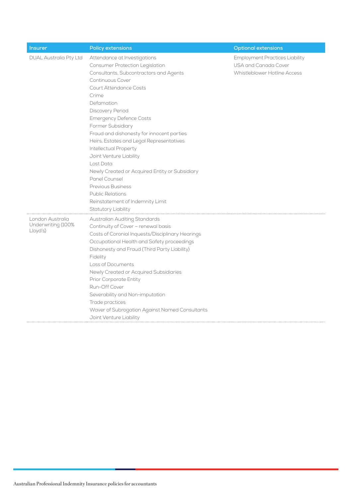| <b>Insurer</b>                                     | <b>Policy extensions</b>                                                                                                                                                                                                                                                                                                                                                                                                                                                                                                                                                                                 | <b>Optional extensions</b>                                                                    |
|----------------------------------------------------|----------------------------------------------------------------------------------------------------------------------------------------------------------------------------------------------------------------------------------------------------------------------------------------------------------------------------------------------------------------------------------------------------------------------------------------------------------------------------------------------------------------------------------------------------------------------------------------------------------|-----------------------------------------------------------------------------------------------|
| <b>DUAL Australia Pty Ltd</b>                      | Attendance at Investigations<br>Consumer Protection Legislation<br>Consultants, Subcontractors and Agents<br>Continuous Cover<br>Court Attendance Costs<br>Crime<br>Defamation<br>Discovery Period<br><b>Emergency Defence Costs</b><br><b>Former Subsidiary</b><br>Fraud and dishonesty for innocent parties<br>Heirs, Estates and Legal Representatives<br>Intellectual Property<br>Joint Venture Liability<br>Lost Data<br>Newly Created or Acquired Entity or Subsidiary<br>Panel Counsel<br>Previous Business<br><b>Public Relations</b><br>Reinstatement of Indemnity Limit<br>Statutory Liability | <b>Employment Practices Liability</b><br>USA and Canada Cover<br>Whistleblower Hotline Access |
| London Australia<br>Underwriting (100%<br>Lloyd's) | Australian Auditing Standards<br>Continuity of Cover - renewal basis<br>Costs of Coronial Inquests/Disciplinary Hearings<br>Occupational Health and Safety proceedings<br>Dishonesty and Fraud (Third Party Liability)<br>Fidelity<br>Loss of Documents<br>Newly Created or Acquired Subsidiaries<br>Prior Corporate Entity<br>Run-Off Cover<br>Severability and Non-imputation<br>Trade practices<br>Waver of Subrogation Against Named Consultants<br>Joint Venture Liability                                                                                                                          |                                                                                               |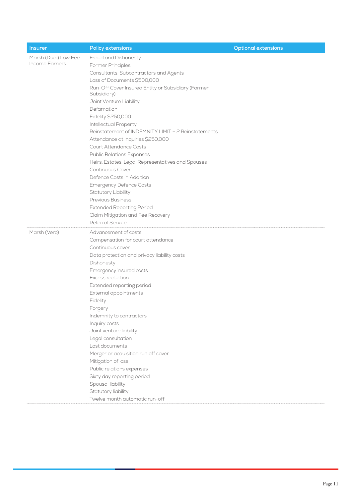| <b>Insurer</b>       | <b>Policy extensions</b>                            | <b>Optional extensions</b> |
|----------------------|-----------------------------------------------------|----------------------------|
| Marsh (Dual) Low Fee | Fraud and Dishonesty                                |                            |
| Income Earners       | Former Principles                                   |                            |
|                      | Consultants, Subcontractors and Agents              |                            |
|                      | Loss of Documents \$500,000                         |                            |
|                      | Run-Off Cover Insured Entity or Subsidiary (Former  |                            |
|                      | Subsidiary)                                         |                            |
|                      | Joint Venture Liability                             |                            |
|                      | Defamation                                          |                            |
|                      | Fidelity \$250,000                                  |                            |
|                      | Intellectual Property                               |                            |
|                      | Reinstatement of INDEMNITY LIMIT - 2 Reinstatements |                            |
|                      | Attendance at Inquiries \$250,000                   |                            |
|                      | Court Attendance Costs                              |                            |
|                      | <b>Public Relations Expenses</b>                    |                            |
|                      | Heirs, Estates, Legal Representatives and Spouses   |                            |
|                      | Continuous Cover                                    |                            |
|                      | Defence Costs in Addition                           |                            |
|                      | <b>Emergency Defence Costs</b>                      |                            |
|                      | Statutory Liability                                 |                            |
|                      | <b>Previous Business</b>                            |                            |
|                      | <b>Extended Reporting Period</b>                    |                            |
|                      | Claim Mitigation and Fee Recovery                   |                            |
|                      | Referral Service                                    |                            |
| Marsh (Vero)         | Advancement of costs                                |                            |
|                      | Compensation for court attendance                   |                            |
|                      | Continuous cover                                    |                            |
|                      | Data protection and privacy liability costs         |                            |
|                      | Dishonesty                                          |                            |
|                      | Emergency insured costs                             |                            |
|                      | Excess reduction                                    |                            |
|                      | Extended reporting period                           |                            |
|                      | External appointments                               |                            |
|                      | Fidelity                                            |                            |
|                      | Forgery                                             |                            |
|                      | Indemnity to contractors                            |                            |
|                      | Inquiry costs                                       |                            |
|                      | Joint venture liability                             |                            |
|                      | Legal consultation                                  |                            |
|                      | Lost documents                                      |                            |
|                      | Merger or acquisition run off cover                 |                            |
|                      | Mitigation of loss                                  |                            |
|                      | Public relations expenses                           |                            |
|                      | Sixty day reporting period                          |                            |
|                      | Spousal liability                                   |                            |
|                      | Statutory liability                                 |                            |
|                      |                                                     |                            |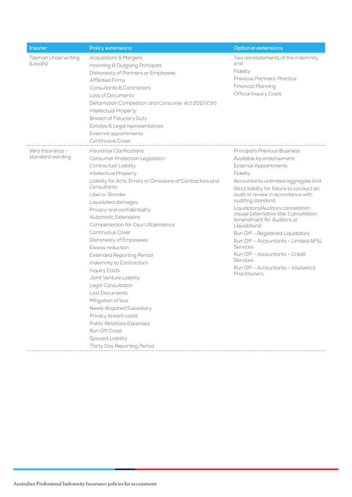| <b>Insurer</b>                       | Policy extensions                                                                                                                                                                                                                                                                                                                                                                                                                                                                                                                                                                                                                                                                    | <b>Optional extensions</b>                                                                                                                                                                                                                                                                                                                                                                                                                                                                                                                                                         |
|--------------------------------------|--------------------------------------------------------------------------------------------------------------------------------------------------------------------------------------------------------------------------------------------------------------------------------------------------------------------------------------------------------------------------------------------------------------------------------------------------------------------------------------------------------------------------------------------------------------------------------------------------------------------------------------------------------------------------------------|------------------------------------------------------------------------------------------------------------------------------------------------------------------------------------------------------------------------------------------------------------------------------------------------------------------------------------------------------------------------------------------------------------------------------------------------------------------------------------------------------------------------------------------------------------------------------------|
| Tasman Underwriting<br>(Lloyd's)     | <b>Acquisitions &amp; Mergers</b><br>Incoming & Outgoing Principals<br>Dishonesty of Partners or Employees<br><b>Affiliated Firms</b><br>Consultants & Contractors<br>Loss of Documents<br>Defamation Competition and Consumer Act 2010 (Cth)<br>Intellectual Property<br>Breach of Fiduciary Duty<br>Estates & Legal representatives<br>External appointments<br>Continuous Cover                                                                                                                                                                                                                                                                                                   | Two reinstatements of the indemnity<br>limit<br>Fidelity<br>Previous Partners' Practice<br><b>Financial Planning</b><br><b>Official Inquiry Costs</b>                                                                                                                                                                                                                                                                                                                                                                                                                              |
| Vero Insurance -<br>standard wording | Insurance Clarifications<br>Consumer Protection Legislation<br>Contractual Liability<br>Intellectual Property<br>Liability for Acts, Errors or Omissions of Contractors and<br>Consultants<br>Libel or Slander<br>Liquidated damages<br>Privacy and confidentiality<br><b>Automatic Extensions</b><br>Compensation for Court Attendance<br>Continuous Cover<br>Dishonesty of Employees<br>Excess reduction<br><b>Extended Reporting Period</b><br>Indemnity to Contractors<br><b>Inquiry Costs</b><br>Joint Venture Liability<br>Legal Consultation<br>Lost Documents<br>Mitigation of loss<br>Newly Acquired Subsidiary<br>Privacy breach costs<br><b>Public Relations Expenses</b> | Principal's Previous Business<br>Available by endorsement:<br><b>External Appointments</b><br>Fidelity<br>Accountants unlimited aggregate limit<br>Strict liability for failure to conduct an<br>audit or review in accordance with<br>auditing standard<br>Liquidators/Auditors cancellation<br>clause (alternative title: Cancellation<br>Amendment for Auditors or<br>Liquidators)<br>Run Off - Registered Liquidators<br>Run Off - Accountants - Limited AFSL<br>Services<br>Run Off - Accountants - Credit<br>Services<br>Run Off - Accountants - Insolvency<br>Practitioners |
|                                      | Run Off Cover<br>Spousal Liability<br>Thirty Day Reporting Period                                                                                                                                                                                                                                                                                                                                                                                                                                                                                                                                                                                                                    |                                                                                                                                                                                                                                                                                                                                                                                                                                                                                                                                                                                    |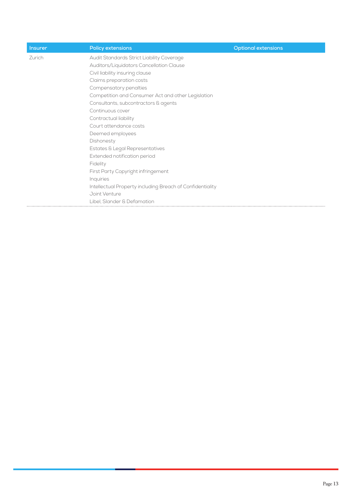| <b>Insurer</b> | Policy extensions                                         | <b>Optional extensions</b> |
|----------------|-----------------------------------------------------------|----------------------------|
| Zurich         | Audit Standards Strict Liability Coverage                 |                            |
|                | Auditors/Liquidators Cancellation Clause                  |                            |
|                | Civil liability insuring clause                           |                            |
|                | Claims preparation costs                                  |                            |
|                | Compensatory penalties                                    |                            |
|                | Competition and Consumer Act and other Legislation        |                            |
|                | Consultants, subcontractors & agents                      |                            |
|                | Continuous cover                                          |                            |
|                | Contractual liability                                     |                            |
|                | Court attendance costs                                    |                            |
|                | Deemed employees                                          |                            |
|                | Dishonesty                                                |                            |
|                | Estates & Legal Representatives                           |                            |
|                | Extended notification period                              |                            |
|                | Fidelity                                                  |                            |
|                | First Party Copyright infringement                        |                            |
|                | Inquiries                                                 |                            |
|                | Intellectual Property including Breach of Confidentiality |                            |
|                | Joint Venture                                             |                            |
|                | Libel, Slander & Defamation                               |                            |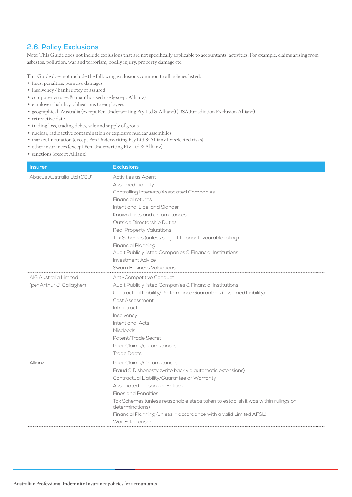## <span id="page-15-0"></span>**2.6. Policy Exclusions**

Note: This Guide does not include exclusions that are not specifically applicable to accountants' activities. For example, claims arising from asbestos, pollution, war and terrorism, bodily injury, property damage etc.

This Guide does not include the following exclusions common to all policies listed:

- fines, penalties, punitive damages
- insolvency / bankruptcy of assured
- computer viruses & unauthorised use (except Allianz)
- employers liability, obligations to employees
- geographical, Australia (except Pen Underwriting Pty Ltd & Allianz) (USA Jurisdiction Exclusion Allianz)
- retroactive date
- trading loss, trading debts, sale and supply of goods
- nuclear, radioactive contamination or explosive nuclear assemblies
- market fluctuation (except Pen Underwriting Pty Ltd & Allianz for selected risks)
- other insurances (except Pen Underwriting Pty Ltd & Allianz)
- sanctions (except Allianz)

| <b>Insurer</b>             | <b>Exclusions</b>                                                                                   |  |
|----------------------------|-----------------------------------------------------------------------------------------------------|--|
| Abacus Australia Ltd (CGU) | Activities as Agent                                                                                 |  |
|                            | <b>Assumed Liability</b>                                                                            |  |
|                            | Controlling Interests/Associated Companies                                                          |  |
|                            | Financial returns                                                                                   |  |
|                            | Intentional Libel and Slander                                                                       |  |
|                            | Known facts and circumstances                                                                       |  |
|                            | Outside Directorship Duties                                                                         |  |
|                            | Real Property Valuations                                                                            |  |
|                            | Tax Schemes (unless subject to prior favourable ruling)                                             |  |
|                            | Financial Planning                                                                                  |  |
|                            | Audit Publicly listed Companies & Financial Institutions                                            |  |
|                            | Investment Advice                                                                                   |  |
|                            | <b>Sworn Business Valuations</b>                                                                    |  |
| AIG Australia Limited      | Anti-Competitive Conduct                                                                            |  |
| (per Arthur J. Gallagher)  | Audit Publicly listed Companies & Financial Institutions                                            |  |
|                            | Contractual Liability/Performance Guarantees (assumed Liability)                                    |  |
|                            | Cost Assessment                                                                                     |  |
|                            | Infrastructure                                                                                      |  |
|                            | Insolvency                                                                                          |  |
|                            | <b>Intentional Acts</b>                                                                             |  |
|                            | Misdeeds                                                                                            |  |
|                            | Patent/Trade Secret                                                                                 |  |
|                            | Prior Claims/circumstances                                                                          |  |
|                            | <b>Trade Debts</b>                                                                                  |  |
| Allianz                    | Prior Claims/Circumstances                                                                          |  |
|                            | Fraud & Dishonesty (write back via automatic extensions)                                            |  |
|                            | Contractual Liability/Guarantee or Warranty                                                         |  |
|                            | <b>Associated Persons or Entities</b>                                                               |  |
|                            | <b>Fines and Penalties</b>                                                                          |  |
|                            | Tax Schemes (unless reasonable steps taken to establish it was within rulings or<br>determinations) |  |
|                            | Financial Planning (unless in accordance with a valid Limited AFSL)                                 |  |
|                            | War & Terrorism                                                                                     |  |
|                            |                                                                                                     |  |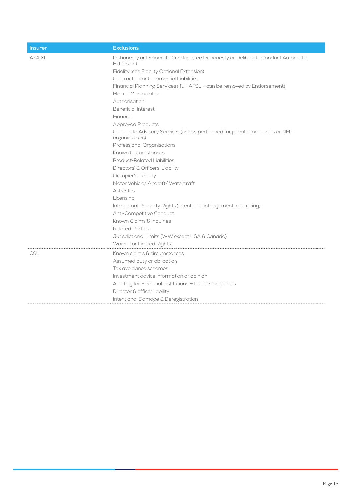| <b>Insurer</b> | <b>Exclusions</b>                                                                              |  |
|----------------|------------------------------------------------------------------------------------------------|--|
| <b>AXA XL</b>  | Dishonesty or Deliberate Conduct (see Dishonesty or Deliberate Conduct Automatic<br>Extension) |  |
|                | Fidelity (see Fidelity Optional Extension)                                                     |  |
|                | Contractual or Commercial Liabilities                                                          |  |
|                | Financial Planning Services ('full' AFSL - can be removed by Endorsement)                      |  |
|                | Market Manipulation                                                                            |  |
|                | Authorisation                                                                                  |  |
|                | <b>Beneficial Interest</b>                                                                     |  |
|                | Finance                                                                                        |  |
|                | <b>Approved Products</b>                                                                       |  |
|                | Corporate Advisory Services (unless performed for private companies or NFP<br>organisations)   |  |
|                | Professional Organisations                                                                     |  |
|                | Known Circumstances                                                                            |  |
|                | <b>Product-Related Liabilities</b>                                                             |  |
|                | Directors' & Officers' Liability                                                               |  |
|                | Occupier's Liability                                                                           |  |
|                | Motor Vehicle/ Aircraft/ Watercraft                                                            |  |
|                | Asbestos                                                                                       |  |
|                | Licensing                                                                                      |  |
|                | Intellectual Property Rights (intentional infringement, marketing)                             |  |
|                | Anti-Competitive Conduct                                                                       |  |
|                | Known Claims & Inquiries                                                                       |  |
|                | <b>Related Parties</b>                                                                         |  |
|                | Jurisdictional Limits (WW except USA & Canada)                                                 |  |
|                | Waived or Limited Rights                                                                       |  |
| <b>CGU</b>     | Known claims & circumstances                                                                   |  |
|                | Assumed duty or obligation                                                                     |  |
|                | Tax avoidance schemes                                                                          |  |
|                | Investment advice information or opinion                                                       |  |
|                | Auditing for Financial Institutions & Public Companies                                         |  |
|                | Director & officer liability                                                                   |  |
|                | Intentional Damage & Deregistration                                                            |  |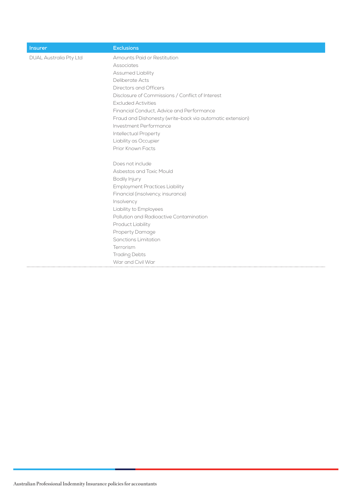| <b>Insurer</b>                | <b>Exclusions</b>                                         |
|-------------------------------|-----------------------------------------------------------|
| <b>DUAL Australia Pty Ltd</b> | Amounts Paid or Restitution                               |
|                               | Associates                                                |
|                               | Assumed Liability                                         |
|                               | Deliberate Acts                                           |
|                               | Directors and Officers                                    |
|                               | Disclosure of Commissions / Conflict of Interest          |
|                               | <b>Excluded Activities</b>                                |
|                               | Financial Conduct, Advice and Performance                 |
|                               | Fraud and Dishonesty (write-back via automatic extension) |
|                               | Investment Performance                                    |
|                               | <b>Intellectual Property</b>                              |
|                               | Liability as Occupier                                     |
|                               | Prior Known Facts                                         |
|                               | Does not include                                          |
|                               | Asbestos and Toxic Mould                                  |
|                               | Bodily Injury                                             |
|                               | <b>Employment Practices Liability</b>                     |
|                               | Financial (insolvency, insurance)                         |
|                               | Insolvency                                                |
|                               | Liability to Employees                                    |
|                               | Pollution and Radioactive Contamination                   |
|                               | Product Liability                                         |
|                               | Property Damage                                           |
|                               | <b>Sanctions Limitation</b>                               |
|                               | Terrorism                                                 |
|                               | <b>Trading Debts</b>                                      |
|                               | War and Civil War                                         |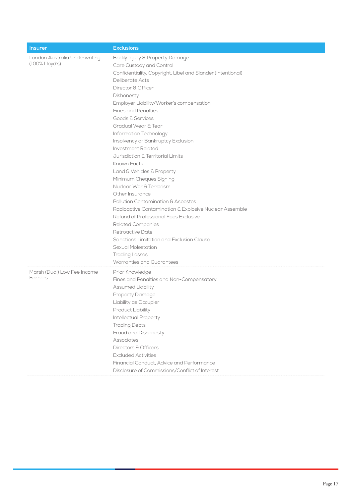| <b>Insurer</b>                                  | <b>Exclusions</b>                                                                                                                                                                                                                                                                                                                                                                                                                                                                                                                                                                                                                                                                                                                                                                                                                                                         |
|-------------------------------------------------|---------------------------------------------------------------------------------------------------------------------------------------------------------------------------------------------------------------------------------------------------------------------------------------------------------------------------------------------------------------------------------------------------------------------------------------------------------------------------------------------------------------------------------------------------------------------------------------------------------------------------------------------------------------------------------------------------------------------------------------------------------------------------------------------------------------------------------------------------------------------------|
| London Australia Underwriting<br>(100% Lloyd's) | Bodily Injury & Property Damage<br>Care Custody and Control<br>Confidentiality, Copyright, Libel and Slander (Intentional)<br>Deliberate Acts<br>Director & Officer<br>Dishonesty<br>Employer Liability/Worker's compensation<br><b>Fines and Penalties</b><br>Goods & Services<br>Gradual Wear & Tear<br>Information Technology<br>Insolvency or Bankruptcy Exclusion<br>Investment Related<br>Jurisdiction & Territorial Limits<br>Known Facts<br>Land & Vehicles & Property<br>Minimum Cheques Signing<br>Nuclear War & Terrorism<br>Other Insurance<br>Pollution Contamination & Asbestos<br>Radioactive Contamination & Explosive Nuclear Assemble<br>Refund of Professional Fees Exclusive<br><b>Related Companies</b><br>Retroactive Date<br>Sanctions Limitation and Exclusion Clause<br>Sexual Molestation<br><b>Trading Losses</b><br>Warranties and Guarantees |
| Marsh (Dual) Low Fee Income<br>Earners          | Prior Knowledge<br>Fines and Penalties and Non-Compensatory<br>Assumed Liability<br>Property Damage<br>Liability as Occupier<br>Product Liability<br><b>Intellectual Property</b><br><b>Trading Debts</b><br>Fraud and Dishonesty<br>Associates<br>Directors & Officers<br><b>Excluded Activities</b><br>Financial Conduct, Advice and Performance<br>Disclosure of Commissions/Conflict of Interest                                                                                                                                                                                                                                                                                                                                                                                                                                                                      |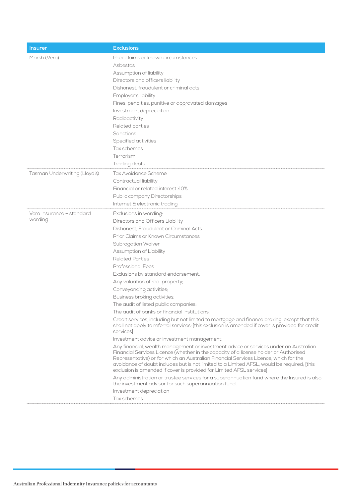| <b>Insurer</b>                | <b>Exclusions</b>                                                                                                                                                                                                                                                                                                                                                                                                                            |  |
|-------------------------------|----------------------------------------------------------------------------------------------------------------------------------------------------------------------------------------------------------------------------------------------------------------------------------------------------------------------------------------------------------------------------------------------------------------------------------------------|--|
| Marsh (Vero)                  | Prior claims or known circumstances                                                                                                                                                                                                                                                                                                                                                                                                          |  |
|                               | Asbestos                                                                                                                                                                                                                                                                                                                                                                                                                                     |  |
|                               | Assumption of liability                                                                                                                                                                                                                                                                                                                                                                                                                      |  |
|                               | Directors and officers liability                                                                                                                                                                                                                                                                                                                                                                                                             |  |
|                               | Dishonest, fraudulent or criminal acts                                                                                                                                                                                                                                                                                                                                                                                                       |  |
|                               | Employer's liability                                                                                                                                                                                                                                                                                                                                                                                                                         |  |
|                               | Fines, penalties, punitive or aggravated damages                                                                                                                                                                                                                                                                                                                                                                                             |  |
|                               | Investment depreciation                                                                                                                                                                                                                                                                                                                                                                                                                      |  |
|                               | Radioactivity                                                                                                                                                                                                                                                                                                                                                                                                                                |  |
|                               | Related parties                                                                                                                                                                                                                                                                                                                                                                                                                              |  |
|                               | <b>Sanctions</b>                                                                                                                                                                                                                                                                                                                                                                                                                             |  |
|                               | Specified activities                                                                                                                                                                                                                                                                                                                                                                                                                         |  |
|                               | Tax schemes                                                                                                                                                                                                                                                                                                                                                                                                                                  |  |
|                               | Terrorism                                                                                                                                                                                                                                                                                                                                                                                                                                    |  |
|                               | Trading debts                                                                                                                                                                                                                                                                                                                                                                                                                                |  |
| Tasman Underwriting (Lloyd's) | Tax Avoidance Scheme                                                                                                                                                                                                                                                                                                                                                                                                                         |  |
|                               | Contractual liability                                                                                                                                                                                                                                                                                                                                                                                                                        |  |
|                               | Financial or related interest >10%                                                                                                                                                                                                                                                                                                                                                                                                           |  |
|                               | Public company Directorships                                                                                                                                                                                                                                                                                                                                                                                                                 |  |
|                               | Internet & electronic trading                                                                                                                                                                                                                                                                                                                                                                                                                |  |
| Vero Insurance - standard     | Exclusions in wording:                                                                                                                                                                                                                                                                                                                                                                                                                       |  |
| wording                       | Directors and Officers Liability                                                                                                                                                                                                                                                                                                                                                                                                             |  |
|                               | Dishonest. Fraudulent or Criminal Acts                                                                                                                                                                                                                                                                                                                                                                                                       |  |
|                               | Prior Claims or Known Circumstances                                                                                                                                                                                                                                                                                                                                                                                                          |  |
|                               | Subrogation Waiver                                                                                                                                                                                                                                                                                                                                                                                                                           |  |
|                               | Assumption of Liability                                                                                                                                                                                                                                                                                                                                                                                                                      |  |
|                               | <b>Related Parties</b>                                                                                                                                                                                                                                                                                                                                                                                                                       |  |
|                               | <b>Professional Fees</b>                                                                                                                                                                                                                                                                                                                                                                                                                     |  |
|                               | Exclusions by standard endorsement:                                                                                                                                                                                                                                                                                                                                                                                                          |  |
|                               | Any valuation of real property;                                                                                                                                                                                                                                                                                                                                                                                                              |  |
|                               | Conveyancing activities;                                                                                                                                                                                                                                                                                                                                                                                                                     |  |
|                               | Business broking activities;                                                                                                                                                                                                                                                                                                                                                                                                                 |  |
|                               | The audit of listed public companies;                                                                                                                                                                                                                                                                                                                                                                                                        |  |
|                               | The audit of banks or financial institutions;                                                                                                                                                                                                                                                                                                                                                                                                |  |
|                               | Credit services, including but not limited to mortgage and finance broking, except that this<br>shall not apply to referral services; [this exclusion is amended if cover is provided for credit<br>services                                                                                                                                                                                                                                 |  |
|                               | Investment advice or investment management;                                                                                                                                                                                                                                                                                                                                                                                                  |  |
|                               | Any financial, wealth management or investment advice or services under an Australian<br>Financial Services Licence (whether in the capacity of a license holder or Authorised<br>Representative) or for which an Australian Financial Services Licence, which for the<br>avoidance of doubt includes but is not limited to a Limited AFSL, would be required; [this<br>exclusion is amended if cover is provided for Limited AFSL services] |  |
|                               | Any administration or trustee services for a superannuation fund where the Insured is also<br>the investment advisor for such superannuation fund.                                                                                                                                                                                                                                                                                           |  |
|                               | Investment depreciation                                                                                                                                                                                                                                                                                                                                                                                                                      |  |
|                               | Tax schemes                                                                                                                                                                                                                                                                                                                                                                                                                                  |  |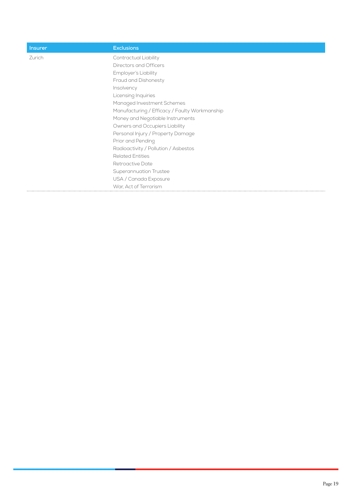| <b>Insurer</b> | <b>Exclusions</b>                             |
|----------------|-----------------------------------------------|
| Zurich         | Contractual Liability                         |
|                | Directors and Officers                        |
|                | Employer's Liability                          |
|                | Fraud and Dishonesty                          |
|                | Insolvency                                    |
|                | Licensing Inquiries                           |
|                | Managed Investment Schemes                    |
|                | Manufacturing / Efficacy / Faulty Workmanship |
|                | Money and Negotiable Instruments              |
|                | Owners and Occupiers Liability                |
|                | Personal Injury / Property Damage             |
|                | Prior and Pending                             |
|                | Radioactivity / Pollution / Asbestos          |
|                | <b>Related Entities</b>                       |
|                | Retroactive Date                              |
|                | Superannuation Trustee                        |
|                | USA / Canada Exposure                         |
|                | War. Act of Terrorism                         |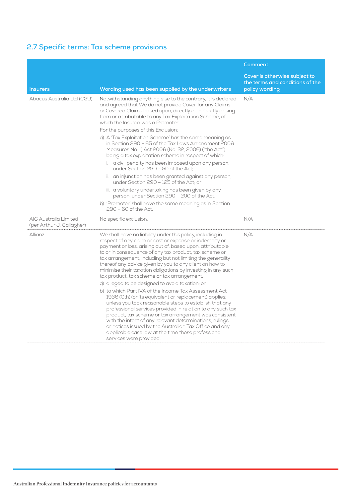## <span id="page-21-0"></span>**2.7 Specific terms: Tax scheme provisions**

|                                                    |                                                                                                                                                                                                                                                                                                                                                                                                                                                                                                                                                                                                                                                                                                                                                                                                                                                                                                                                                                                                                                                   | Comment                                                                            |
|----------------------------------------------------|---------------------------------------------------------------------------------------------------------------------------------------------------------------------------------------------------------------------------------------------------------------------------------------------------------------------------------------------------------------------------------------------------------------------------------------------------------------------------------------------------------------------------------------------------------------------------------------------------------------------------------------------------------------------------------------------------------------------------------------------------------------------------------------------------------------------------------------------------------------------------------------------------------------------------------------------------------------------------------------------------------------------------------------------------|------------------------------------------------------------------------------------|
| <b>Insurers</b>                                    | Wording used has been supplied by the underwriters                                                                                                                                                                                                                                                                                                                                                                                                                                                                                                                                                                                                                                                                                                                                                                                                                                                                                                                                                                                                | Cover is otherwise subject to<br>the terms and conditions of the<br>policy wording |
| Abacus Australia Ltd (CGU)                         | Notwithstanding anything else to the contrary, it is declared<br>and agreed that We do not provide Cover for any Claims<br>or Covered Claims based upon, directly or indirectly arising<br>from or attributable to any Tax Exploitation Scheme, of<br>which the Insured was a Promoter.<br>For the purposes of this Exclusion:<br>a) A 'Tax Exploitation Scheme' has the same meaning as<br>in Section 290 - 65 of the Tax Laws Amendment 2006<br>Measures No. 1) Act 2006 (No. 32, 2006) ("the Act")<br>being a tax exploitation scheme in respect of which:<br>i. a civil penalty has been imposed upon any person,<br>under Section 290 - 50 of the Act;<br>ii. an injunction has been granted against any person,<br>under Section 290 - 125 of the Act: or<br>iii. a voluntary undertaking has been given by any<br>person, under Section 290 - 200 of the Act.<br>b) 'Promoter' shall have the same meaning as in Section<br>290 - 60 of the Act.                                                                                           | N/A                                                                                |
| AIG Australia Limited<br>(per Arthur J. Gallagher) | No specific exclusion.                                                                                                                                                                                                                                                                                                                                                                                                                                                                                                                                                                                                                                                                                                                                                                                                                                                                                                                                                                                                                            | N/A                                                                                |
| Allianz                                            | We shall have no liability under this policy, including in<br>respect of any claim or cost or expense or indemnity or<br>payment or loss, arising out of, based upon, attributable<br>to or in consequence of any tax product, tax scheme or<br>tax arrangement, including but not limiting the generality<br>thereof any advice given by you to any client on how to<br>minimise their taxation obligations by investing in any such<br>tax product, tax scheme or tax arrangement:<br>a) alleged to be designed to avoid taxation; or<br>b) to which Part IVA of the Income Tax Assessment Act<br>1936 (Cth) (or its equivalent or replacement) applies;<br>unless you took reasonable steps to establish that any<br>professional services provided in relation to any such tax<br>product, tax scheme or tax arrangement was consistent<br>with the intent of any relevant determinations, rulings<br>or notices issued by the Australian Tax Office and any<br>applicable case law at the time those professional<br>services were provided. | N/A                                                                                |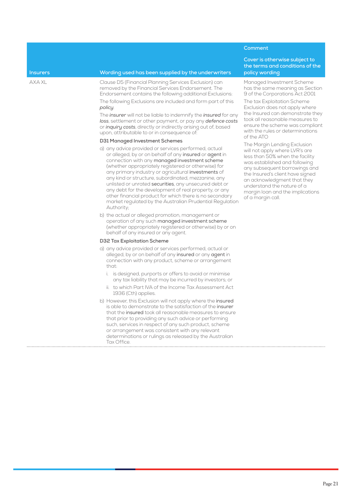### **Insurers Wording used has been supplied by the underwriters**

AXA XL Clause D5 (Financial Planning Services Exclusion) can removed by the Financial Services Endorsement. The Endorsement contains the following additional Exclusions: The following Exclusions are included and form part of this

### *policy*.

The *insurer* will not be liable to indemnify the *insured* for any *loss*, settlement or other payment, or pay any *defence costs* or *inquiry costs*, directly or indirectly arising out of, based upon, attributable to or in consequence of:

#### **D31 Managed Investment Schemes**

- a) any advice provided or services performed, actual or alleged, by or on behalf of any insured or agent in connection with any managed investment scheme (whether appropriately registered or otherwise) for any primary industry or agricultural investments of any kind or structure, subordinated, mezzanine, any unlisted or unrated securities, any unsecured debt or any debt for the development of real property, or any other financial product for which there is no secondary market regulated by the Australian Prudential Regulation Authority;
- b) the actual or alleged promotion, management or operation of any such managed investment scheme (whether appropriately registered or otherwise) by or on behalf of any insured or any agent.

### **D32 Tax Exploitation Scheme**

- a) any advice provided or services performed, actual or alleged, by or on behalf of any insured or any agent in connection with any product, scheme or arrangement that:
	- i. is designed, purports or offers to avoid or minimise any tax liability that may be incurred by investors; or
	- ii. to which Part IVA of the Income Tax Assessment Act 1936 (Cth) applies.
- b) However, this Exclusion will not apply where the insured is able to demonstrate to the satisfaction of the insurer that the insured took all reasonable measures to ensure that prior to providing any such advice or performing such, services in respect of any such product, scheme or arrangement was consistent with any relevant determinations or rulings as released by the Australian Tax Office

## **Comment**

**Cover is otherwise subject to the terms and conditions of the policy wording**

Managed Investment Scheme has the same meaning as Section 9 of the Corporations Act 2001

The tax Exploitation Scheme Exclusion does not apply where the Insured can demonstrate they took all reasonable measures to ensure the scheme was compliant with the rules or determinations of the ATO

The Margin Lending Exclusion will not apply where LVR's are less than 50% when the facility was established and following any subsequent borrowings and the Insured's client have signed an acknowledgment that they understand the nature of a margin loan and the implications of a margin call.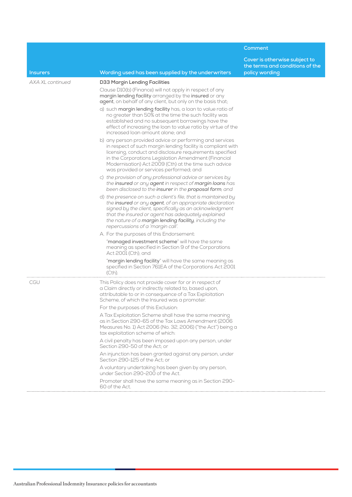|                         |                                                                                                                                                                                                                                                                                                                                                  | Comment                                                                            |
|-------------------------|--------------------------------------------------------------------------------------------------------------------------------------------------------------------------------------------------------------------------------------------------------------------------------------------------------------------------------------------------|------------------------------------------------------------------------------------|
| <b>Insurers</b>         | Wording used has been supplied by the underwriters                                                                                                                                                                                                                                                                                               | Cover is otherwise subject to<br>the terms and conditions of the<br>policy wording |
| <b>AXA XL continued</b> | D33 Margin Lending Facilities                                                                                                                                                                                                                                                                                                                    |                                                                                    |
|                         | Clause D10(b) (Finance) will not apply in respect of any<br>margin lending facility arranged by the insured or any<br>agent, on behalf of any client, but only on the basis that;                                                                                                                                                                |                                                                                    |
|                         | a) such margin lending facility has, a loan to value ratio of<br>no greater than 50% at the time the such facility was<br>established and no subsequent borrowings have the<br>effect of increasing the loan to value ratio by virtue of the<br>increased loan amount alone; and                                                                 |                                                                                    |
|                         | b) any person provided advice or performing and services<br>in respect of such margin lending facility is compliant with<br>licensing, conduct and disclosure requirements specified<br>in the Corporations Legislation Amendment (Financial<br>Modernisation) Act 2009 (Cth) at the time such advice<br>was provided or services performed; and |                                                                                    |
|                         | c) the provision of any professional advice or services by<br>the insured or any agent in respect of margin loans has<br>been disclosed to the insurer in the proposal form; and                                                                                                                                                                 |                                                                                    |
|                         | d) the presence on such a client's file, that is maintained by<br>the insured or any agent, of an appropriate declaration<br>signed by the client, specifically as an acknowledgment<br>that the insured or agent has adequately explained<br>the nature of a margin lending facility, including the<br>repercussions of a 'margin call'.        |                                                                                    |
|                         | A. For the purposes of this Endorsement:                                                                                                                                                                                                                                                                                                         |                                                                                    |
|                         | "managed investment scheme" will have the same<br>meaning as specified in Section 9 of the Corporations<br>Act 2001 (Cth); and                                                                                                                                                                                                                   |                                                                                    |
|                         | "margin lending facility" will have the same meaning as<br>specified in Section 761EA of the Corporations Act 2001<br>(Cth).                                                                                                                                                                                                                     |                                                                                    |
| CGU                     | This Policy does not provide cover for or in respect of<br>a Claim directly or indirectly related to, based upon,<br>attributable to or in consequence of a Tax Exploitation<br>Scheme, of which the Insured was a promoter.                                                                                                                     |                                                                                    |
|                         | For the purposes of this Exclusion:                                                                                                                                                                                                                                                                                                              |                                                                                    |
|                         | A Tax Exploitation Scheme shall have the same meaning<br>as in Section 290-65 of the Tax Laws Amendment (2006<br>Measures No. 1) Act 2006 (No. 32, 2006) ("the Act") being a<br>tax exploitation scheme of which:                                                                                                                                |                                                                                    |
|                         | A civil penalty has been imposed upon any person, under<br>Section 290-50 of the Act; or                                                                                                                                                                                                                                                         |                                                                                    |
|                         | An injunction has been granted against any person, under<br>Section 290-125 of the Act: or                                                                                                                                                                                                                                                       |                                                                                    |
|                         | A voluntary undertaking has been given by any person,<br>under Section 290-200 of the Act.                                                                                                                                                                                                                                                       |                                                                                    |
|                         | Promoter shall have the same meaning as in Section 290-<br>60 of the Act.                                                                                                                                                                                                                                                                        |                                                                                    |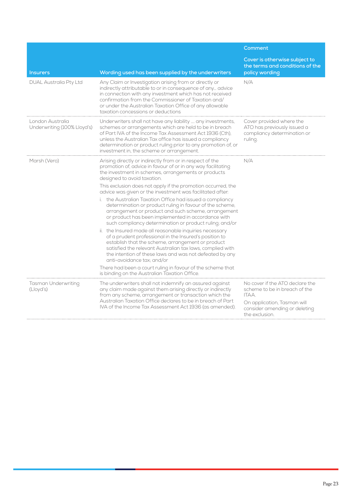|                                                 |                                                                                                                                                                                                                                                                                                                                                                                                                                                                                                                                                                                                                                                                                                                                                                                                                                                                                                                                                                                                                                                                                             | Comment                                                                                                                                                     |
|-------------------------------------------------|---------------------------------------------------------------------------------------------------------------------------------------------------------------------------------------------------------------------------------------------------------------------------------------------------------------------------------------------------------------------------------------------------------------------------------------------------------------------------------------------------------------------------------------------------------------------------------------------------------------------------------------------------------------------------------------------------------------------------------------------------------------------------------------------------------------------------------------------------------------------------------------------------------------------------------------------------------------------------------------------------------------------------------------------------------------------------------------------|-------------------------------------------------------------------------------------------------------------------------------------------------------------|
| <b>Insurers</b>                                 | Wording used has been supplied by the underwriters                                                                                                                                                                                                                                                                                                                                                                                                                                                                                                                                                                                                                                                                                                                                                                                                                                                                                                                                                                                                                                          | Cover is otherwise subject to<br>the terms and conditions of the<br>policy wording                                                                          |
| <b>DUAL Australia Pty Ltd</b>                   | Any Claim or Investigation arising from or directly or<br>indirectly attributable to or in consequence of any advice<br>in connection with any investment which has not received<br>confirmation from the Commissioner of Taxation and/<br>or under the Australian Taxation Office of any allowable<br>taxation concessions or deductions                                                                                                                                                                                                                                                                                                                                                                                                                                                                                                                                                                                                                                                                                                                                                   | N/A                                                                                                                                                         |
| London Australia<br>Underwriting (100% Lloyd's) | Underwriters shall not have any liability  any investments,<br>schemes or arrangements which are held to be in breach<br>of Part IVA of the Income Tax Assessment Act 1936 (Cth).<br>unless the Australian Tax office has issued a compliancy<br>determination or product ruling prior to any promotion of, or<br>investment in, the scheme or arrangement.                                                                                                                                                                                                                                                                                                                                                                                                                                                                                                                                                                                                                                                                                                                                 | Cover provided where the<br>ATO has previously issued a<br>compliancy determination or<br>ruling.                                                           |
| Marsh (Vero)                                    | Arising directly or indirectly from or in respect of the<br>promotion of, advice in favour of or in any way facilitating<br>the investment in schemes, arrangements or products<br>designed to avoid taxation.<br>This exclusion does not apply if the promotion occurred, the<br>advice was given or the investment was facilitated after:<br>i. the Australian Taxation Office had issued a compliancy<br>determination or product ruling in favour of the scheme,<br>arrangement or product and such scheme, arrangement<br>or product has been implemented in accordance with<br>such compliancy determination or product ruling; and/or<br>ii. the Insured made all reasonable inquiries necessary<br>of a prudent professional in the Insured's position to<br>establish that the scheme, arrangement or product<br>satisfied the relevant Australian tax laws, complied with<br>the intention of these laws and was not defeated by any<br>anti-avoidance tax; and/or<br>There had been a court ruling in favour of the scheme that<br>is binding on the Australian Taxation Office. | N/A                                                                                                                                                         |
| <b>Tasman Underwriting</b><br>(Lloyd's)         | The underwriters shall not indemnify an assured against<br>any claim made against them arising directly or indirectly<br>from any scheme, arrangement or transaction which the<br>Australian Taxation Office declares to be in breach of Part<br>IVA of the Income Tax Assessment Act 1936 (as amended).                                                                                                                                                                                                                                                                                                                                                                                                                                                                                                                                                                                                                                                                                                                                                                                    | No cover if the ATO declare the<br>scheme to be in breach of the<br>ITAA.<br>On application, Tasman will<br>consider amending or deleting<br>the exclusion. |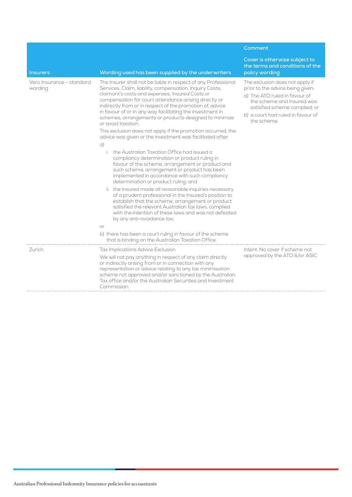|                                      |                                                                                                                                                                                                                                                                                                                                                                                                                                                                                                                                                                                                                                                                                                                                                                                                                                                                                                                                                                                                                                                                                                                                                                                         | Comment                                                                                                                                                                                                                 |
|--------------------------------------|-----------------------------------------------------------------------------------------------------------------------------------------------------------------------------------------------------------------------------------------------------------------------------------------------------------------------------------------------------------------------------------------------------------------------------------------------------------------------------------------------------------------------------------------------------------------------------------------------------------------------------------------------------------------------------------------------------------------------------------------------------------------------------------------------------------------------------------------------------------------------------------------------------------------------------------------------------------------------------------------------------------------------------------------------------------------------------------------------------------------------------------------------------------------------------------------|-------------------------------------------------------------------------------------------------------------------------------------------------------------------------------------------------------------------------|
| <b>Insurers</b>                      | Wording used has been supplied by the underwriters                                                                                                                                                                                                                                                                                                                                                                                                                                                                                                                                                                                                                                                                                                                                                                                                                                                                                                                                                                                                                                                                                                                                      | Cover is otherwise subject to<br>the terms and conditions of the<br>policy wording                                                                                                                                      |
| Vero Insurance - standard<br>wording | The Insurer shall not be liable in respect of any Professional<br>Services, Claim, liability, compensation, Inquiry Costs,<br>claimant's costs and expenses, Insured Costs or<br>compensation for court attendance arising directly or<br>indirectly from or in respect of the promotion of, advice<br>in favour of or in any way facilitating the investment in<br>schemes, arrangements or products designed to minimize<br>or avoid taxation.<br>This exclusion does not apply if the promotion occurred, the<br>advice was given or the investment was facilitated after:<br>$\alpha$ )<br>i. the Australian Taxation Office had issued a<br>compliancy determination or product ruling in<br>favour of the scheme, arrangement or product and<br>such scheme, arrangement or product has been<br>implemented in accordance with such compliancy<br>determination or product ruling; and<br>ii. the Insured made all reasonable inquiries necessary<br>of a prudent professional in the Insured's position to<br>establish that the scheme, arrangement or product<br>satisfied the relevant Australian tax laws, complied<br>with the intention of these laws and was not defeated | The exclusion does not apply if<br>prior to the advice being given:<br>a) The ATO ruled in favour of<br>the scheme and Insured was<br>satisfied scheme complied; or<br>b) a court had ruled in favour of<br>the scheme. |
|                                      | by any anti-avoidance tax;<br>or                                                                                                                                                                                                                                                                                                                                                                                                                                                                                                                                                                                                                                                                                                                                                                                                                                                                                                                                                                                                                                                                                                                                                        |                                                                                                                                                                                                                         |
|                                      | b) there has been a court ruling in favour of the scheme<br>that is binding on the Australian Taxation Office.                                                                                                                                                                                                                                                                                                                                                                                                                                                                                                                                                                                                                                                                                                                                                                                                                                                                                                                                                                                                                                                                          |                                                                                                                                                                                                                         |
| Zurich                               | Tax Implications Advice Exclusion                                                                                                                                                                                                                                                                                                                                                                                                                                                                                                                                                                                                                                                                                                                                                                                                                                                                                                                                                                                                                                                                                                                                                       | Intent: No cover if scheme not                                                                                                                                                                                          |
|                                      | We will not pay anything in respect of any claim directly<br>or indirectly arising from or in connection with any<br>representation or advice relating to any tax minimisation<br>scheme not approved and/or sanctioned by the Australian<br>Tax office and/or the Australian Securities and Investment<br>Commission.                                                                                                                                                                                                                                                                                                                                                                                                                                                                                                                                                                                                                                                                                                                                                                                                                                                                  | approved by the ATO &/or ASIC                                                                                                                                                                                           |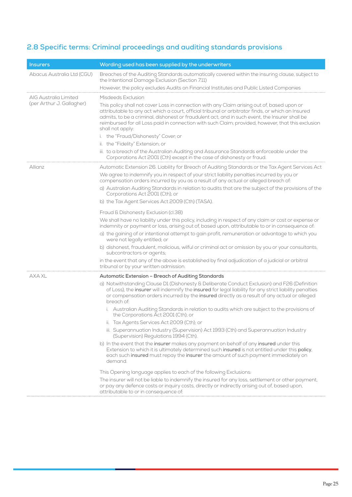## <span id="page-26-0"></span>**2.8 Specific terms: Criminal proceedings and auditing standards provisions**

| <b>Insurers</b>                                    | Wording used has been supplied by the underwriters                                                                                                                                                                                                                                                                                                                                                                                                 |  |
|----------------------------------------------------|----------------------------------------------------------------------------------------------------------------------------------------------------------------------------------------------------------------------------------------------------------------------------------------------------------------------------------------------------------------------------------------------------------------------------------------------------|--|
| Abacus Australia Ltd (CGU)                         | Breaches of the Auditing Standards automatically covered within the insuring clause, subject to<br>the Intentional Damage Exclusion (Section 7.11)                                                                                                                                                                                                                                                                                                 |  |
|                                                    | However, the policy excludes Audits on Financial Institutes and Public Listed Companies                                                                                                                                                                                                                                                                                                                                                            |  |
| AIG Australia Limited<br>(per Arthur J. Gallagher) | Misdeeds Exclusion<br>This policy shall not cover Loss in connection with any Claim arising out of, based upon or<br>attributable to any act which a court, official tribunal or arbitrator finds, or which an Insured<br>admits, to be a criminal, dishonest or fraudulent act; and in such event, the Insurer shall be<br>reimbursed for all Loss paid in connection with such Claim; provided, however, that this exclusion<br>shall not apply: |  |
|                                                    | i. the "Fraud/Dishonesty" Cover; or                                                                                                                                                                                                                                                                                                                                                                                                                |  |
|                                                    | ii. the "Fidelity" Extension; or                                                                                                                                                                                                                                                                                                                                                                                                                   |  |
|                                                    | iii. to a breach of the Australian Auditing and Assurance Standards enforceable under the<br>Corporations Act 2001 (Cth) except in the case of dishonesty or fraud.                                                                                                                                                                                                                                                                                |  |
| Allianz                                            | Automatic Extension 26. Liability for Breach of Auditing Standards or the Tax Agent Services Act                                                                                                                                                                                                                                                                                                                                                   |  |
|                                                    | We agree to indemnify you in respect of your strict liability penalties incurred by you or<br>compensation orders incurred by you as a result of any actual or alleged breach of:                                                                                                                                                                                                                                                                  |  |
|                                                    | a) Australian Auditing Standards in relation to audits that are the subject of the provisions of the<br>Corporations Act 2001 (Cth); or                                                                                                                                                                                                                                                                                                            |  |
|                                                    | b) the Tax Agent Services Act 2009 (Cth) (TASA).                                                                                                                                                                                                                                                                                                                                                                                                   |  |
|                                                    | Fraud & Dishonesty Exclusion (cl.38)                                                                                                                                                                                                                                                                                                                                                                                                               |  |
|                                                    | We shall have no liability under this policy, including in respect of any claim or cost or expense or<br>indemnity or payment or loss, arising out of, based upon, attributable to or in consequence of:                                                                                                                                                                                                                                           |  |
|                                                    | a) the gaining of or intentional attempt to gain profit, remuneration or advantage to which you<br>were not legally entitled; or                                                                                                                                                                                                                                                                                                                   |  |
|                                                    | b) dishonest, fraudulent, malicious, wilful or criminal act or omission by you or your consultants,<br>subcontractors or agents;                                                                                                                                                                                                                                                                                                                   |  |
|                                                    | in the event that any of the above is established by final adjudication of a judicial or arbitral<br>tribunal or by your written admission.                                                                                                                                                                                                                                                                                                        |  |
| AXA XL                                             | Automatic Extension - Breach of Auditing Standards                                                                                                                                                                                                                                                                                                                                                                                                 |  |
|                                                    | a) Notwithstanding Clause D1 (Dishonesty & Deliberate Conduct Exclusion) and F26 (Definition<br>of Loss), the insurer will indemnify the insured for legal liability for any strict liability penalties<br>or compensation orders incurred by the insured directly as a result of any actual or alleged<br>breach of:                                                                                                                              |  |
|                                                    | i. Australian Auditing Standards in relation to audits which are subject to the provisions of<br>the Corporations Act 2001 (Cth); or                                                                                                                                                                                                                                                                                                               |  |
|                                                    | ii. Tax Agents Services Act 2009 (Cth); or                                                                                                                                                                                                                                                                                                                                                                                                         |  |
|                                                    | iii. Superannuation Industry (Supervision) Act 1993 (Cth) and Superannuation Industry<br>(Supervision) Regulations 1994 (Cth).                                                                                                                                                                                                                                                                                                                     |  |
|                                                    | b) In the event that the insurer makes any payment on behalf of any insured under this<br>Extension to which it is ultimately determined such insured is not entitled under this policy,<br>each such insured must repay the insurer the amount of such payment immediately on<br>demand.                                                                                                                                                          |  |
|                                                    | This Opening language applies to each of the following Exclusions:                                                                                                                                                                                                                                                                                                                                                                                 |  |
|                                                    | The insurer will not be liable to indemnify the insured for any loss, settlement or other payment,<br>or pay any defence costs or inquiry costs, directly or indirectly arising out of, based upon,<br>attributable to or in consequence of:                                                                                                                                                                                                       |  |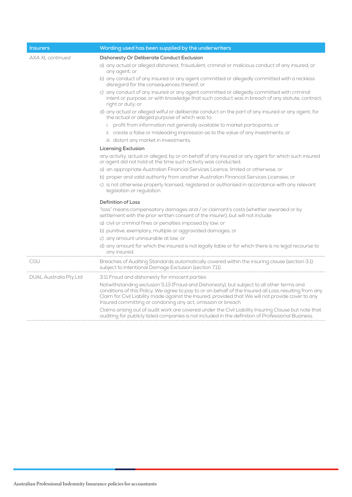| <b>Insurers</b>               | Wording used has been supplied by the underwriters                                                                                                                                                                                                                                                                                                                       |
|-------------------------------|--------------------------------------------------------------------------------------------------------------------------------------------------------------------------------------------------------------------------------------------------------------------------------------------------------------------------------------------------------------------------|
| AXA XL continued              | Dishonesty Or Deliberate Conduct Exclusion                                                                                                                                                                                                                                                                                                                               |
|                               | a) any actual or alleged dishonest, fraudulent, criminal or malicious conduct of any insured, or<br>any agent; or                                                                                                                                                                                                                                                        |
|                               | b) any conduct of any insured or any agent committed or allegedly committed with a reckless<br>disregard for the consequences thereof; or                                                                                                                                                                                                                                |
|                               | c) any conduct of any insured or any agent committed or allegedly committed with criminal<br>intent or purpose, or with knowledge that such conduct was in breach of any statute, contract,<br>right or duty; or                                                                                                                                                         |
|                               | d) any actual or alleged wilful or deliberate conduct on the part of any insured or any agent, for<br>the actual or alleged purpose of which was to:                                                                                                                                                                                                                     |
|                               | i. profit from information not generally available to market participants; or                                                                                                                                                                                                                                                                                            |
|                               | ii. create a false or misleading impression as to the value of any investments; or                                                                                                                                                                                                                                                                                       |
|                               | iii. distort any market in investments.                                                                                                                                                                                                                                                                                                                                  |
|                               | <b>Licensing Exclusion</b>                                                                                                                                                                                                                                                                                                                                               |
|                               | any activity, actual or alleged, by or on behalf of any insured or any agent for which such insured<br>or agent did not hold at the time such activity was conducted:                                                                                                                                                                                                    |
|                               | a) an appropriate Australian Financial Services Licence, limited or otherwise; or                                                                                                                                                                                                                                                                                        |
|                               | b) proper and valid authority from another Australian Financial Services Licensee; or                                                                                                                                                                                                                                                                                    |
|                               | c) is not otherwise properly licensed, registered or authorised in accordance with any relevant<br>legislation or regulation.                                                                                                                                                                                                                                            |
|                               | <b>Definition of Loss</b>                                                                                                                                                                                                                                                                                                                                                |
|                               | "loss" means compensatory damages and / or claimant's costs (whether awarded or by<br>settlement with the prior written consent of the insurer), but will not include;                                                                                                                                                                                                   |
|                               | a) civil or criminal fines or penalties imposed by law; or                                                                                                                                                                                                                                                                                                               |
|                               | b) punitive, exemplary, multiple or aggravated damages; or                                                                                                                                                                                                                                                                                                               |
|                               | c) any amount uninsurable at law; or                                                                                                                                                                                                                                                                                                                                     |
|                               | d) any amount for which the insured is not legally liable or for which there is no legal recourse to<br>any insured.                                                                                                                                                                                                                                                     |
| CGU                           | Breaches of Auditing Standards automatically covered within the insuring clause (section 3.1)<br>subject to Intentional Damage Exclusion (section 7.11)                                                                                                                                                                                                                  |
| <b>DUAL Australia Pty Ltd</b> | 3.11 Fraud and dishonesty for innocent parties                                                                                                                                                                                                                                                                                                                           |
|                               | Notwithstanding exclusion 5.13 (Fraud and Dishonesty), but subject to all other terms and<br>conditions of this Policy, We agree to pay to or on behalf of the Insured all Loss resulting from any<br>Claim for Civil Liability made against the Insured, provided that We will not provide cover to any<br>Insured committing or condoning any act, omission or breach. |
|                               | Claims arising out of audit work are covered under the Civil Liability Insuring Clause but note that<br>auditing for publicly listed companies is not included in the definition of Professional Business.                                                                                                                                                               |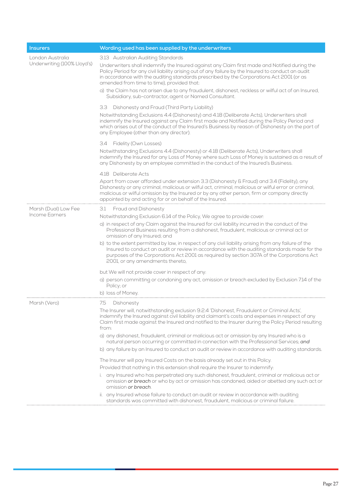| <b>Insurers</b>                                 | Wording used has been supplied by the underwriters                                                                                                                                                                                                                                                                                                              |  |
|-------------------------------------------------|-----------------------------------------------------------------------------------------------------------------------------------------------------------------------------------------------------------------------------------------------------------------------------------------------------------------------------------------------------------------|--|
| London Australia<br>Underwriting (100% Lloyd's) | 3.13 Australian Auditing Standards                                                                                                                                                                                                                                                                                                                              |  |
|                                                 | Underwriters shall indemnify the Insured against any Claim first made and Notified during the<br>Policy Period for any civil liability arising out of any failure by the Insured to conduct an audit<br>in accordance with the auditing standards prescribed by the Corporations Act 2001 (or as<br>amended from time to time), provided that:                  |  |
|                                                 | a) the Claim has not arisen due to any fraudulent, dishonest, reckless or wilful act of an Insured,<br>Subsidiary, sub-contractor, agent or Named Consultant.                                                                                                                                                                                                   |  |
|                                                 | Dishonesty and Fraud (Third Party Liability)<br>3.3                                                                                                                                                                                                                                                                                                             |  |
|                                                 | Notwithstanding Exclusions 4.4 (Dishonesty) and 4.18 (Deliberate Acts), Underwriters shall<br>indemnify the Insured against any Claim first made and Notified during the Policy Period and<br>which arises out of the conduct of the Insured's Business by reason of Dishonesty on the part of<br>any Employee (other than any director).                       |  |
|                                                 | 3.4 Fidelity (Own Losses)                                                                                                                                                                                                                                                                                                                                       |  |
|                                                 | Notwithstanding Exclusions 4.4 (Dishonesty) or 4.18 (Deliberate Acts), Underwriters shall<br>indemnify the Insured for any Loss of Money where such Loss of Money is sustained as a result of<br>any Dishonesty by an employee committed in the conduct of the Insured's Business.                                                                              |  |
|                                                 | 4.18 Deliberate Acts                                                                                                                                                                                                                                                                                                                                            |  |
|                                                 | Apart from cover afforded under extension 3.3 (Dishonesty & Fraud) and 3.4 (Fidelity), any<br>Dishonesty or any criminal, malicious or wilful act, criminal, malicious or wilful error or criminal,<br>malicious or wilful omission by the Insured or by any other person, firm or company directly<br>appointed by and acting for or on behalf of the Insured. |  |
| Marsh (Dual) Low Fee                            | Fraud and Dishonesty<br>3.1                                                                                                                                                                                                                                                                                                                                     |  |
| Income Earners                                  | Notwithstanding Exclusion 6.14 of the Policy, We agree to provide cover:                                                                                                                                                                                                                                                                                        |  |
|                                                 | a) in respect of any Claim against the Insured for civil liability incurred in the conduct of the<br>Professional Business resulting from a dishonest, fraudulent, malicious or criminal act or<br>omission of any Insured; and                                                                                                                                 |  |
|                                                 | b) to the extent permitted by law, in respect of any civil liability arising from any failure of the<br>Insured to conduct an audit or review in accordance with the auditing standards made for the<br>purposes of the Corporations Act 2001 as required by section 307A of the Corporations Act<br>2001, or any amendments thereto,                           |  |
|                                                 | but We will not provide cover in respect of any:                                                                                                                                                                                                                                                                                                                |  |
|                                                 | a) person committing or condoning any act, omission or breach excluded by Exclusion 7.14 of the<br>Policy; or                                                                                                                                                                                                                                                   |  |
|                                                 | b) loss of Money.                                                                                                                                                                                                                                                                                                                                               |  |
| Marsh (Vero)                                    | 7.5<br>Dishonesty                                                                                                                                                                                                                                                                                                                                               |  |
|                                                 | The Insurer will, notwithstanding exclusion 9.2.4 'Dishonest, Fraudulent or Criminal Acts',<br>indemnify the Insured against civil liability and claimant's costs and expenses in respect of any<br>Claim first made against the Insured and notified to the Insurer during the Policy Period resulting<br>from:                                                |  |
|                                                 | a) any dishonest, fraudulent, criminal or malicious act or omission by any Insured who is a<br>natural person occurring or committed in connection with the Professional Services; and                                                                                                                                                                          |  |
|                                                 | b) any failure by an Insured to conduct an audit or review in accordance with auditing standards.                                                                                                                                                                                                                                                               |  |
|                                                 | The Insurer will pay Insured Costs on the basis already set out in this Policy.                                                                                                                                                                                                                                                                                 |  |
|                                                 | Provided that nothing in this extension shall require the Insurer to indemnify:                                                                                                                                                                                                                                                                                 |  |
|                                                 | i. any Insured who has perpetrated any such dishonest, fraudulent, criminal or malicious act or<br>omission or breach or who by act or omission has condoned, aided or abetted any such act or<br>omission or breach.                                                                                                                                           |  |
|                                                 | ii. any Insured whose failure to conduct an audit or review in accordance with auditing<br>standards was committed with dishonest, fraudulent, malicious or criminal failure.                                                                                                                                                                                   |  |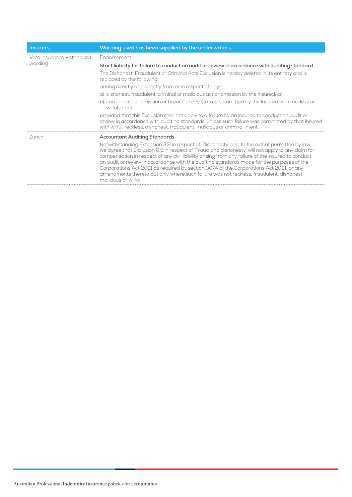| <b>Insurers</b>                      | Wording used has been supplied by the underwriters                                                                                                                                                                                                                                                                                                                                                                                                                                                                                                                                                             |  |
|--------------------------------------|----------------------------------------------------------------------------------------------------------------------------------------------------------------------------------------------------------------------------------------------------------------------------------------------------------------------------------------------------------------------------------------------------------------------------------------------------------------------------------------------------------------------------------------------------------------------------------------------------------------|--|
| Vero Insurance - standard<br>wording | Endorsement:                                                                                                                                                                                                                                                                                                                                                                                                                                                                                                                                                                                                   |  |
|                                      | Strict liability for failure to conduct an audit or review in accordance with auditing standard                                                                                                                                                                                                                                                                                                                                                                                                                                                                                                                |  |
|                                      | The Dishonest, Fraudulent or Criminal Acts Exclusion is hereby deleted in its entirety and is<br>replaced by the following:                                                                                                                                                                                                                                                                                                                                                                                                                                                                                    |  |
|                                      | arising directly or indirectly from or in respect of any.                                                                                                                                                                                                                                                                                                                                                                                                                                                                                                                                                      |  |
|                                      | a) dishonest, fraudulent, criminal or malicious act or omission by the Insured; or                                                                                                                                                                                                                                                                                                                                                                                                                                                                                                                             |  |
|                                      | b) criminal act or omission or breach of any statute committed by the Insured with reckless or<br>wilful intent                                                                                                                                                                                                                                                                                                                                                                                                                                                                                                |  |
|                                      | provided that this Exclusion shall not apply to a failure by an Insured to conduct an audit or<br>review in accordance with auditing standards, unless such failure was committed by that Insured<br>with wilful, reckless, dishonest, fraudulent, malicious or criminal intent.                                                                                                                                                                                                                                                                                                                               |  |
| -Zurich                              | <b>Accountant Auditing Standards</b>                                                                                                                                                                                                                                                                                                                                                                                                                                                                                                                                                                           |  |
|                                      | Notwithstanding Extension 3.8 in respect of 'Dishonesty' and to the extent permitted by law,<br>we agree that Exclusion 6.5 in respect of 'Fraud and dishonesty' will not apply to any claim for<br>compensation in respect of any civil liability arising from any failure of the insured to conduct<br>an audit or review in accordance with the auditing standards made for the purposes of the<br>Corporations Act 2001 as required by section 307A of the Corporations Act 2001, or any<br>amendments thereto but only where such failure was not reckless, fraudulent, dishonest,<br>malicious or wilful |  |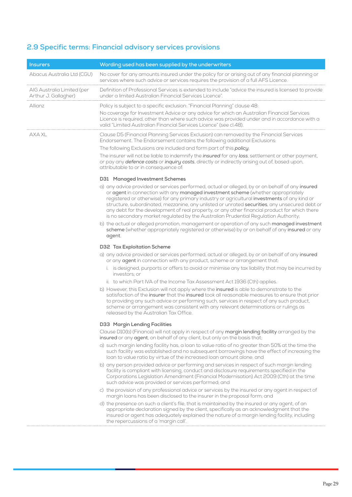## <span id="page-30-0"></span>**2.9 Specific terms: Financial advisory services provisions**

| <u>In</u> surers                                   | Wording used has been supplied by the underwriters                                                                                                                                                                                                                                                                                                                                                                                                                                                                                                                           |
|----------------------------------------------------|------------------------------------------------------------------------------------------------------------------------------------------------------------------------------------------------------------------------------------------------------------------------------------------------------------------------------------------------------------------------------------------------------------------------------------------------------------------------------------------------------------------------------------------------------------------------------|
| Abacus Australia Ltd (CGU)                         | No cover for any amounts insured under the policy for or arising out of any financial planning or<br>services where such advice or services requires the provision of a full AFS Licence.                                                                                                                                                                                                                                                                                                                                                                                    |
| AIG Australia Limited (per<br>Arthur J. Gallagher) | Definition of Professional Services is extended to include "advice the insured is licensed to provide<br>under a limited Australian Financial Services Licence".                                                                                                                                                                                                                                                                                                                                                                                                             |
| Allianz                                            | Policy is subject to a specific exclusion: "Financial Planning" clause 48:                                                                                                                                                                                                                                                                                                                                                                                                                                                                                                   |
|                                                    | No coverage for Investment Advice or any advice for which an Australian Financial Services<br>Licence is required, other than where such advice was provided under and in accordance with a<br>valid "Limited Australian Financial Services Licence" (see cl.48).                                                                                                                                                                                                                                                                                                            |
| AXA XL                                             | Clause D5 (Financial Planning Services Exclusion) can removed by the Financial Services<br>Endorsement. The Endorsement contains the following additional Exclusions:                                                                                                                                                                                                                                                                                                                                                                                                        |
|                                                    | The following Exclusions are included and form part of this policy;                                                                                                                                                                                                                                                                                                                                                                                                                                                                                                          |
|                                                    | The insurer will not be liable to indemnify the <i>insured</i> for any loss, settlement or other payment,<br>or pay any defence costs or inquiry costs, directly or indirectly arising out of, based upon,<br>attributable to or in consequence of:                                                                                                                                                                                                                                                                                                                          |
|                                                    | D31 Managed Investment Schemes                                                                                                                                                                                                                                                                                                                                                                                                                                                                                                                                               |
|                                                    | a) any advice provided or services performed, actual or alleged, by or on behalf of any insured<br>or agent in connection with any managed investment scheme (whether appropriately<br>registered or otherwise) for any primary industry or agricultural investments of any kind or<br>structure, subordinated, mezzanine, any unlisted or unrated securities, any unsecured debt or<br>any debt for the development of real property, or any other financial product for which there<br>is no secondary market regulated by the Australian Prudential Regulation Authority; |
|                                                    | b) the actual or alleged promotion, management or operation of any such managed investment<br>scheme (whether appropriately registered or otherwise) by or on behalf of any insured or any<br>agent.                                                                                                                                                                                                                                                                                                                                                                         |
|                                                    | D32 Tax Exploitation Scheme                                                                                                                                                                                                                                                                                                                                                                                                                                                                                                                                                  |
|                                                    | a) any advice provided or services performed, actual or alleged, by or on behalf of any insured<br>or any agent in connection with any product, scheme or arrangement that:                                                                                                                                                                                                                                                                                                                                                                                                  |
|                                                    | i. is designed, purports or offers to avoid or minimise any tax liability that may be incurred by<br>investors; or                                                                                                                                                                                                                                                                                                                                                                                                                                                           |
|                                                    | ii. to which Part IVA of the Income Tax Assessment Act 1936 (Cth) applies.                                                                                                                                                                                                                                                                                                                                                                                                                                                                                                   |
|                                                    | b) However, this Exclusion will not apply where the insured is able to demonstrate to the<br>satisfaction of the insurer that the insured took all reasonable measures to ensure that prior<br>to providing any such advice or performing such, services in respect of any such product,<br>scheme or arrangement was consistent with any relevant determinations or rulings as<br>released by the Australian Tax Office.                                                                                                                                                    |
|                                                    | D33 Margin Lending Facilities                                                                                                                                                                                                                                                                                                                                                                                                                                                                                                                                                |
|                                                    | Clause D10(b) (Finance) will not apply in respect of any margin lending facility arranged by the<br>insured or any agent, on behalf of any client, but only on the basis that;                                                                                                                                                                                                                                                                                                                                                                                               |
|                                                    | a) such margin lending facility has, a loan to value ratio of no greater than 50% at the time the<br>such facility was established and no subsequent borrowings have the effect of increasing the<br>loan to value ratio by virtue of the increased loan amount alone; and                                                                                                                                                                                                                                                                                                   |
|                                                    | b) any person provided advice or performing and services in respect of such margin lending<br>facility is compliant with licensing, conduct and disclosure requirements specified in the<br>Corporations Legislation Amendment (Financial Modernisation) Act 2009 (Cth) at the time<br>such advice was provided or services performed; and                                                                                                                                                                                                                                   |
|                                                    | c) the provision of any professional advice or services by the insured or any agent in respect of<br>margin loans has been disclosed to the insurer in the proposal form; and                                                                                                                                                                                                                                                                                                                                                                                                |
|                                                    | d) the presence on such a client's file, that is maintained by the insured or any agent, of an<br>appropriate declaration signed by the client, specifically as an acknowledgment that the<br>insured or agent has adequately explained the nature of a margin lending facility, including<br>the repercussions of a 'margin call'.                                                                                                                                                                                                                                          |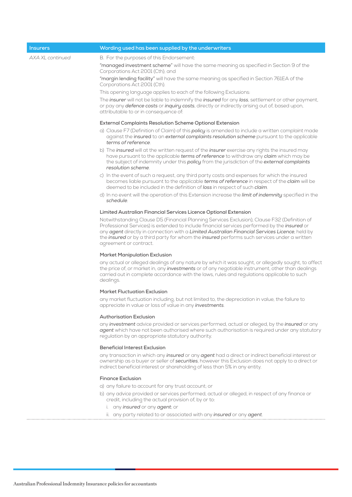| <b>Insurers</b>  | Wording used has been supplied by the underwriters                                                                                                                                                                                                                                                                                                                                                                                           |  |
|------------------|----------------------------------------------------------------------------------------------------------------------------------------------------------------------------------------------------------------------------------------------------------------------------------------------------------------------------------------------------------------------------------------------------------------------------------------------|--|
| AXA XL continued | B. For the purposes of this Endorsement:                                                                                                                                                                                                                                                                                                                                                                                                     |  |
|                  | "managed investment scheme" will have the same meaning as specified in Section 9 of the<br>Corporations Act 2001 (Cth); and                                                                                                                                                                                                                                                                                                                  |  |
|                  | "margin lending facility" will have the same meaning as specified in Section 761EA of the<br>Corporations Act 2001 (Cth).                                                                                                                                                                                                                                                                                                                    |  |
|                  | This opening language applies to each of the following Exclusions:                                                                                                                                                                                                                                                                                                                                                                           |  |
|                  | The <i>insurer</i> will not be liable to indemnify the <i>insured</i> for any <i>loss</i> , settlement or other payment,<br>or pay any defence costs or inquiry costs, directly or indirectly arising out of, based upon,<br>attributable to or in consequence of:                                                                                                                                                                           |  |
|                  | <b>External Complaints Resolution Scheme Optional Extension</b>                                                                                                                                                                                                                                                                                                                                                                              |  |
|                  | a) Clause F7 (Definition of Claim) of this policy is amended to include a written complaint made<br>against the insured to an external complaints resolution scheme pursuant to the applicable<br>terms of reference.                                                                                                                                                                                                                        |  |
|                  | b) The <i>insured</i> will at the written request of the <i>insurer</i> exercise any rights the insured may<br>have pursuant to the applicable terms of reference to withdraw any claim which may be<br>the subject of indemnity under this policy from the jurisdiction of the external complaints<br>resolution scheme.                                                                                                                    |  |
|                  | c) In the event of such a request, any third party costs and expenses for which the insured<br>becomes liable pursuant to the applicable terms of reference in respect of the claim will be<br>deemed to be included in the definition of loss in respect of such claim.                                                                                                                                                                     |  |
|                  | d) In no event will the operation of this Extension increase the limit of indemnity specified in the<br>schedule.                                                                                                                                                                                                                                                                                                                            |  |
|                  | Limited Australian Financial Services Licence Optional Extension                                                                                                                                                                                                                                                                                                                                                                             |  |
|                  | Notwithstanding Clause D5 (Financial Planning Services Exclusion), Clause F32 (Definition of<br>Professional Services) is extended to include financial services performed by the <i>insured</i> or<br>any agent directly in connection with a Limited Australian Financial Services Licence, held by<br>the <i>insured</i> or by a third party for whom the <i>insured</i> performs such services under a written<br>agreement or contract. |  |
|                  | Market Manipulation Exclusion                                                                                                                                                                                                                                                                                                                                                                                                                |  |
|                  | any actual or alleged dealings of any nature by which it was sought, or allegedly sought, to affect<br>the price of, or market in, any investments or of any negotiable instrument, other than dealings<br>carried out in complete accordance with the laws, rules and regulations applicable to such<br>dealings.                                                                                                                           |  |
|                  | <b>Market Fluctuation Exclusion</b>                                                                                                                                                                                                                                                                                                                                                                                                          |  |
|                  | any market fluctuation including, but not limited to, the depreciation in value, the failure to<br>appreciate in value or loss of value in any <i>investments</i> .                                                                                                                                                                                                                                                                          |  |
|                  | <b>Authorisation Exclusion</b>                                                                                                                                                                                                                                                                                                                                                                                                               |  |
|                  | any investment advice provided or services performed, actual or alleged, by the insured or any<br>agent which have not been authorised where such authorisation is required under any statutory<br>regulation by an appropriate statutory authority.                                                                                                                                                                                         |  |
|                  | <b>Beneficial Interest Exclusion</b>                                                                                                                                                                                                                                                                                                                                                                                                         |  |
|                  | any transaction in which any insured or any agent had a direct or indirect beneficial interest or<br>ownership as a buyer or seller of securities, however this Exclusion does not apply to a direct or<br>indirect beneficial interest or shareholding of less than 5% in any entity.                                                                                                                                                       |  |
|                  | <b>Finance Exclusion</b>                                                                                                                                                                                                                                                                                                                                                                                                                     |  |
|                  | a) any failure to account for any trust account; or                                                                                                                                                                                                                                                                                                                                                                                          |  |
|                  | b) any advice provided or services performed, actual or alleged, in respect of any finance or<br>credit, including the actual provision of, by or to:                                                                                                                                                                                                                                                                                        |  |
|                  | i. any <i>insured</i> or any <i>agent</i> ; or                                                                                                                                                                                                                                                                                                                                                                                               |  |
|                  | ii. any party related to or associated with any insured or any agent.                                                                                                                                                                                                                                                                                                                                                                        |  |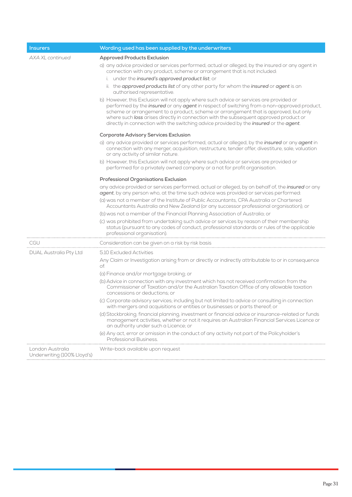| <b>Insurers</b>                                 | Wording used has been supplied by the underwriters                                                                                                                                                                                                                                                                                                                                                                                                               |
|-------------------------------------------------|------------------------------------------------------------------------------------------------------------------------------------------------------------------------------------------------------------------------------------------------------------------------------------------------------------------------------------------------------------------------------------------------------------------------------------------------------------------|
| AXA XL continued                                | <b>Approved Products Exclusion</b><br>a) any advice provided or services performed, actual or alleged, by the insured or any agent in                                                                                                                                                                                                                                                                                                                            |
|                                                 | connection with any product, scheme or arrangement that is not included:                                                                                                                                                                                                                                                                                                                                                                                         |
|                                                 | i. under the insured's approved product list; or<br>ii. the approved products list of any other party for whom the insured or agent is an                                                                                                                                                                                                                                                                                                                        |
|                                                 | authorised representative.                                                                                                                                                                                                                                                                                                                                                                                                                                       |
|                                                 | b) However, this Exclusion will not apply where such advice or services are provided or<br>performed by the insured or any agent in respect of switching from a non-approved product,<br>scheme or arrangement to a product, scheme or arrangement that is approved, but only<br>where such loss arises directly in connection with the subsequent approved product or<br>directly in connection with the switching advice provided by the insured or the agent. |
|                                                 | <b>Corporate Advisory Services Exclusion</b>                                                                                                                                                                                                                                                                                                                                                                                                                     |
|                                                 | a) any advice provided or services performed, actual or alleged, by the <i>insured</i> or any agent in<br>connection with any merger, acquisition, restructure, tender offer, divestiture, sale, valuation<br>or any activity of similar nature.                                                                                                                                                                                                                 |
|                                                 | b) However, this Exclusion will not apply where such advice or services are provided or<br>performed for a privately owned company or a not for profit organisation.                                                                                                                                                                                                                                                                                             |
|                                                 | Professional Organisations Exclusion                                                                                                                                                                                                                                                                                                                                                                                                                             |
|                                                 | any advice provided or services performed, actual or alleged, by on behalf of, the <i>insured</i> or any<br>agent, by any person who, at the time such advice was provided or services performed:                                                                                                                                                                                                                                                                |
|                                                 | (a) was not a member of the Institute of Public Accountants, CPA Australia or Chartered<br>Accountants Australia and New Zealand (or any successor professional organisation); or                                                                                                                                                                                                                                                                                |
|                                                 | (b) was not a member of the Financial Planning Association of Australia; or                                                                                                                                                                                                                                                                                                                                                                                      |
|                                                 | (c) was prohibited from undertaking such advice or services by reason of their membership<br>status (pursuant to any codes of conduct, professional standards or rules of the applicable<br>professional organisation).                                                                                                                                                                                                                                          |
| <b>CGU</b>                                      | Consideration can be given on a risk by risk basis                                                                                                                                                                                                                                                                                                                                                                                                               |
| <b>DUAL Australia Pty Ltd</b>                   | 5.10 Excluded Activities                                                                                                                                                                                                                                                                                                                                                                                                                                         |
|                                                 | Any Claim or Investigation arising from or directly or indirectly attributable to or in consequence<br>of:                                                                                                                                                                                                                                                                                                                                                       |
|                                                 | (a) Finance and/or mortgage broking; or                                                                                                                                                                                                                                                                                                                                                                                                                          |
|                                                 | (b) Advice in connection with any investment which has not received confirmation from the<br>Commissioner of Taxation and/or the Australian Taxation Office of any allowable taxation<br>concessions or deductions; or                                                                                                                                                                                                                                           |
|                                                 | (c) Corporate advisory services; including but not limited to advice or consulting in connection<br>with mergers and acquisitions or entities or businesses or parts thereof; or                                                                                                                                                                                                                                                                                 |
|                                                 | (d) Stockbroking; financial planning, investment or financial advice or insurance-related or funds<br>management activities, whether or not it requires an Australian Financial Services Licence or<br>an authority under such a Licence; or                                                                                                                                                                                                                     |
|                                                 | (e) Any act, error or omission in the conduct of any activity not part of the Policyholder's<br>Professional Business.                                                                                                                                                                                                                                                                                                                                           |
| London Australia<br>Underwriting (100% Lloyd's) | Write-back available upon request                                                                                                                                                                                                                                                                                                                                                                                                                                |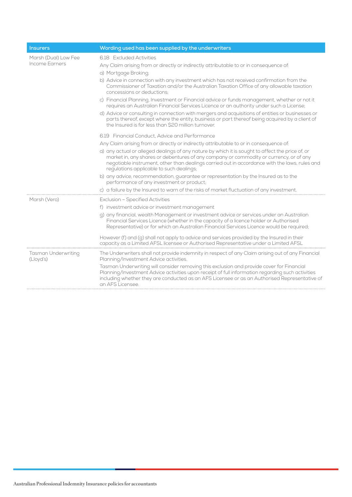| <b>Insurers</b>                         | Wording used has been supplied by the underwriters                                                                                                                                                                                                                                                                                      |
|-----------------------------------------|-----------------------------------------------------------------------------------------------------------------------------------------------------------------------------------------------------------------------------------------------------------------------------------------------------------------------------------------|
| Marsh (Dual) Low Fee<br>Income Earners  | 6.18 Excluded Activities                                                                                                                                                                                                                                                                                                                |
|                                         | Any Claim arising from or directly or indirectly attributable to or in consequence of:                                                                                                                                                                                                                                                  |
|                                         | a) Mortgage Broking;                                                                                                                                                                                                                                                                                                                    |
|                                         | b) Advice in connection with any investment which has not received confirmation from the<br>Commissioner of Taxation and/or the Australian Taxation Office of any allowable taxation<br>concessions or deductions:                                                                                                                      |
|                                         | c) Financial Planning, Investment or Financial advice or funds management, whether or not it<br>requires an Australian Financial Services Licence or an authority under such a License;                                                                                                                                                 |
|                                         | d) Advice or consulting in connection with mergers and acquisitions of entities or businesses or<br>parts thereof, except where the entity, business or part thereof being acquired by a client of<br>the Insured is for less than \$20 million turnover.                                                                               |
|                                         | 6.19 Financial Conduct, Advice and Performance                                                                                                                                                                                                                                                                                          |
|                                         | Any Claim arising from or directly or indirectly attributable to or in consequence of:                                                                                                                                                                                                                                                  |
|                                         | a) any actual or alleged dealings of any nature by which it is sought to affect the price of, or<br>market in, any shares or debentures of any company or commodity or currency, or of any<br>negotiable instrument, other than dealings carried out in accordance with the laws, rules and<br>regulations applicable to such dealings; |
|                                         | b) any advice, recommendation, guarantee or representation by the Insured as to the<br>performance of any investment or product;                                                                                                                                                                                                        |
|                                         | c) a failure by the Insured to warn of the risks of market fluctuation of any investment.                                                                                                                                                                                                                                               |
| Marsh (Vero)                            | <b>Exclusion - Specified Activities</b>                                                                                                                                                                                                                                                                                                 |
|                                         | f) investment advice or investment management                                                                                                                                                                                                                                                                                           |
|                                         | g) any financial, wealth Management or investment advice or services under an Australian<br>Financial Services Licence (whether in the capacity of a licence holder or Authorised<br>Representative) or for which an Australian Financial Services Licence would be required;                                                           |
|                                         | However (f) and (q) shall not apply to advice and services provided by the Insured in their<br>capacity as a Limited AFSL licensee or Authorised Representative under a Limited AFSL                                                                                                                                                    |
| <b>Tasman Underwriting</b><br>(Lloyd's) | The Underwriters shall not provide indemnity in respect of any Claim arising out of any Financial<br>Planning/Investment Advice activities.                                                                                                                                                                                             |
|                                         | Tasman Underwriting will consider removing this exclusion and provide cover for Financial<br>Planning/Investment Advice activities upon receipt of full information regarding such activities<br>including whether they are conducted as an AFS Licensee or as an Authorised Representative of<br>an AFS Licensee.                      |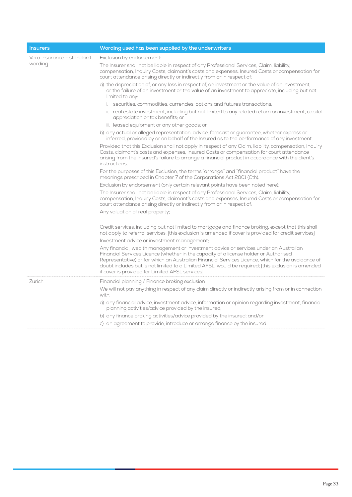| <b>Insurers</b>                      | Wording used has been supplied by the underwriters                                                                                                                                                                                                                                                                                                                                                                                           |
|--------------------------------------|----------------------------------------------------------------------------------------------------------------------------------------------------------------------------------------------------------------------------------------------------------------------------------------------------------------------------------------------------------------------------------------------------------------------------------------------|
| Vero Insurance - standard<br>wording | Exclusion by endorsement:                                                                                                                                                                                                                                                                                                                                                                                                                    |
|                                      | The Insurer shall not be liable in respect of any Professional Services, Claim, liability,<br>compensation, Inquiry Costs, claimant's costs and expenses, Insured Costs or compensation for<br>court attendance arising directly or indirectly from or in respect of:                                                                                                                                                                        |
|                                      | a) the depreciation of, or any loss in respect of, an investment or the value of an investment,<br>or the failure of an investment or the value of an investment to appreciate, including but not<br>limited to any:                                                                                                                                                                                                                         |
|                                      | i. securities, commodities, currencies, options and futures transactions;                                                                                                                                                                                                                                                                                                                                                                    |
|                                      | ii. real estate investment, including but not limited to any related return on investment, capital<br>appreciation or tax benefits; or                                                                                                                                                                                                                                                                                                       |
|                                      | iii. leased equipment or any other goods; or                                                                                                                                                                                                                                                                                                                                                                                                 |
|                                      | b) any actual or alleged representation, advice, forecast or guarantee, whether express or<br>inferred, provided by or on behalf of the Insured as to the performance of any investment.                                                                                                                                                                                                                                                     |
|                                      | Provided that this Exclusion shall not apply in respect of any Claim, liability, compensation, Inquiry<br>Costs, claimant's costs and expenses, Insured Costs or compensation for court attendance<br>arising from the Insured's failure to arrange a financial product in accordance with the client's<br>instructions.                                                                                                                     |
|                                      | For the purposes of this Exclusion, the terms "arrange" and "financial product" have the<br>meanings prescribed in Chapter 7 of the Corporations Act 2001 (Cth).                                                                                                                                                                                                                                                                             |
|                                      | Exclusion by endorsement (only certain relevant points have been noted here):                                                                                                                                                                                                                                                                                                                                                                |
|                                      | The Insurer shall not be liable in respect of any Professional Services, Claim, liability,<br>compensation, Inquiry Costs, claimant's costs and expenses, Insured Costs or compensation for<br>court attendance arising directly or indirectly from or in respect of:                                                                                                                                                                        |
|                                      | Any valuation of real property;                                                                                                                                                                                                                                                                                                                                                                                                              |
|                                      | Credit services, including but not limited to mortgage and finance broking, except that this shall<br>not apply to referral services; [this exclusion is amended if cover is provided for credit services]<br>Investment advice or investment management;                                                                                                                                                                                    |
|                                      | Any financial, wealth management or investment advice or services under an Australian<br>Financial Services Licence (whether in the capacity of a license holder or Authorised<br>Representative) or for which an Australian Financial Services Licence, which for the avoidance of<br>doubt includes but is not limited to a Limited AFSL, would be required; [this exclusion is amended<br>if cover is provided for Limited AFSL services] |
| Zurich                               | Financial planning / Finance broking exclusion                                                                                                                                                                                                                                                                                                                                                                                               |
|                                      | We will not pay anything in respect of any claim directly or indirectly arising from or in connection<br>with:                                                                                                                                                                                                                                                                                                                               |
|                                      | a) any financial advice, investment advice, information or opinion regarding investment, financial<br>planning activities/advice provided by the insured;                                                                                                                                                                                                                                                                                    |
|                                      | b) any finance broking activities/advice provided by the insured; and/or                                                                                                                                                                                                                                                                                                                                                                     |
|                                      | c) an agreement to provide, introduce or arrange finance by the insured                                                                                                                                                                                                                                                                                                                                                                      |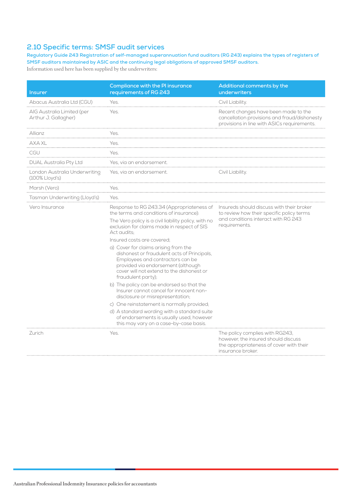## <span id="page-35-0"></span>**2.10 Specific terms: SMSF audit services**

**Regulatory Guide 243 Registration of self-managed superannuation fund auditors (RG 243) explains the types of registers of SMSF auditors maintained by ASIC and the continuing legal obligations of approved SMSF auditors.** Information used here has been supplied by the underwriters:

| <b>Insurer</b>                                     | <b>Compliance with the PI insurance</b><br>requirements of RG 243                                                                                                                                                                | Additional comments by the<br>underwriters                                                                                                     |
|----------------------------------------------------|----------------------------------------------------------------------------------------------------------------------------------------------------------------------------------------------------------------------------------|------------------------------------------------------------------------------------------------------------------------------------------------|
| Abacus Australia Ltd (CGU)                         | Yes.                                                                                                                                                                                                                             | Civil Liability.                                                                                                                               |
| AIG Australia Limited (per<br>Arthur J. Gallagher) | Yes.                                                                                                                                                                                                                             | Recent changes have been made to the<br>cancellation provisions and fraud/dishonesty<br>provisions in line with ASICs requirements.            |
| Allianz                                            | Yes.                                                                                                                                                                                                                             |                                                                                                                                                |
| AXA XL                                             | Yes.                                                                                                                                                                                                                             |                                                                                                                                                |
| CGU                                                | Yes.                                                                                                                                                                                                                             |                                                                                                                                                |
| DUAL Australia Pty Ltd                             | Yes, via an endorsement.                                                                                                                                                                                                         |                                                                                                                                                |
| London Australia Underwriting<br>(100% Lloyd's)    | Yes, via an endorsement.                                                                                                                                                                                                         | Civil Liability.                                                                                                                               |
| Marsh (Vero)                                       | Yes                                                                                                                                                                                                                              |                                                                                                                                                |
| Tasman Underwriting (Lloyd's)                      | Yes.                                                                                                                                                                                                                             |                                                                                                                                                |
| Vero Insurance                                     | Response to RG 243.34 (Appropriateness of<br>the terms and conditions of insurance):<br>The Vero policy is a civil liability policy, with no<br>exclusion for claims made in respect of SIS<br>Act audits:                       | Insureds should discuss with their broker<br>to review how their specific policy terms<br>and conditions interact with RG 243<br>requirements. |
|                                                    | Insured costs are covered:                                                                                                                                                                                                       |                                                                                                                                                |
|                                                    | a) Cover for claims arising from the<br>dishonest or fraudulent acts of Principals,<br>Employees and contractors can be<br>provided via endorsement (although<br>cover will not extend to the dishonest or<br>fraudulent party); |                                                                                                                                                |
|                                                    | b) The policy can be endorsed so that the<br>Insurer cannot cancel for innocent non-<br>disclosure or misrepresentation;                                                                                                         |                                                                                                                                                |
|                                                    | c) One reinstatement is normally provided;                                                                                                                                                                                       |                                                                                                                                                |
|                                                    | d) A standard wording with a standard suite<br>of endorsements is usually used, however<br>this may vary on a case-by-case basis.                                                                                                |                                                                                                                                                |
| Zurich                                             | Yes.                                                                                                                                                                                                                             | The policy complies with RG243,<br>however, the insured should discuss<br>the appropriateness of cover with their<br>insurance broker.         |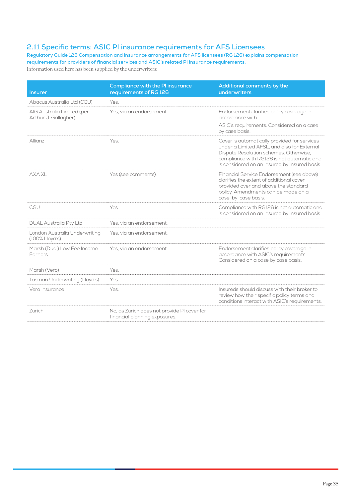## <span id="page-36-0"></span>**2.11 Specific terms: ASIC PI insurance requirements for AFS Licensees**

**Regulatory Guide 126 Compensation and insurance arrangements for AFS licensees (RG 126) explains compensation requirements for providers of financial services and ASIC's related PI insurance requirements.** Information used here has been supplied by the underwriters:

| <b>Insurer</b>                                     | <b>Compliance with the PI insurance</b><br>requirements of RG 126            | Additional comments by the<br>underwriters                                                                                                                                                                                           |
|----------------------------------------------------|------------------------------------------------------------------------------|--------------------------------------------------------------------------------------------------------------------------------------------------------------------------------------------------------------------------------------|
| Abacus Australia Ltd (CGU)                         | Yes.                                                                         |                                                                                                                                                                                                                                      |
| AIG Australia Limited (per<br>Arthur J. Gallagher) | Yes, via an endorsement.                                                     | Endorsement clarifies policy coverage in<br>accordance with.<br>ASIC's requirements. Considered on a case<br>by case basis.                                                                                                          |
| Allianz                                            | Yes.                                                                         | Cover is automatically provided for services<br>under a Limited AFSL, and also for External<br>Dispute Resolution schemes. Otherwise,<br>compliance with RG126 is not automatic and<br>is considered on an Insured by Insured basis. |
| AXA XL                                             | Yes (see comments).                                                          | Financial Service Endorsement (see above)<br>clarifies the extent of additional cover<br>provided over and above the standard<br>policy. Amendments can be made on a<br>case-by-case basis.                                          |
| CGU                                                | Yes.                                                                         | Compliance with RG126 is not automatic and<br>is considered on an Insured by Insured basis.                                                                                                                                          |
| <b>DUAL Australia Pty Ltd</b>                      | Yes, via an endorsement.                                                     |                                                                                                                                                                                                                                      |
| London Australia Underwriting<br>$(100\%$ Lloyd's) | Yes, via an endorsement.                                                     |                                                                                                                                                                                                                                      |
| Marsh (Dual) Low Fee Income<br>Earners             | Yes, via an endorsement.                                                     | Endorsement clarifies policy coverage in<br>accordance with ASIC's requirements.<br>Considered on a case by case basis.                                                                                                              |
| Marsh (Vero)                                       | Yes.                                                                         |                                                                                                                                                                                                                                      |
| Tasman Underwriting (Lloyd's)                      | Yes.                                                                         |                                                                                                                                                                                                                                      |
| Vero Insurance                                     | Yes.                                                                         | Insureds should discuss with their broker to<br>review how their specific policy terms and<br>conditions interact with ASIC's requirements.                                                                                          |
| Zurich                                             | No, as Zurich does not provide PI cover for<br>financial planning exposures. |                                                                                                                                                                                                                                      |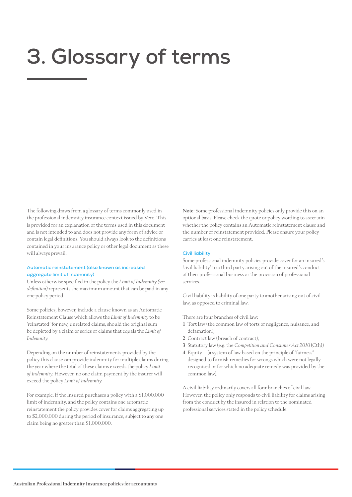# <span id="page-37-0"></span>**3. Glossary of terms**

The following draws from [a glossary of terms](http://www.vero.com.au/vero/sites/default/files/file/profin/vero-profin-professional-indemnity-glossary.pdf) commonly used in the professional indemnity insurance context issued by Vero. This is provided for an explanation of the terms used in this document and is not intended to and does not provide any form of advice or contain legal definitions. You should always look to the definitions contained in your insurance policy or other legal document as these will always prevail.

## **Automatic reinstatement (also known as increased aggregate limit of indemnity)**

Unless otherwise specified in the policy the *Limit of Indemnity (see definition)* represents the maximum amount that can be paid in any one policy period.

Some policies, however, include a clause known as an Automatic Reinstatement Clause which allows the *Limit of Indemnity* to be 'reinstated' for new, unrelated claims, should the original sum be depleted by a claim or series of claims that equals the *Limit of Indemnity.*

Depending on the number of reinstatements provided by the policy this clause can provide indemnity for multiple claims during the year where the total of these claims exceeds the policy *Limit of Indemnity.* However, no one claim payment by the insurer will exceed the policy *Limit of Indemnity.*

For example, if the Insured purchases a policy with a \$1,000,000 limit of indemnity, and the policy contains one automatic reinstatement the policy provides cover for claims aggregating up to \$2,000,000 during the period of insurance, subject to any one claim being no greater than \$1,000,000.

Note: Some professional indemnity policies only provide this on an optional basis. Please check the quote or policy wording to ascertain whether the policy contains an Automatic reinstatement clause and the number of reinstatement provided. Please ensure your policy carries at least one reinstatement.

#### **Civil liability**

Some professional indemnity policies provide cover for an insured's 'civil liability' to a third party arising out of the insured's conduct of their professional business or the provision of professional services.

Civil liability is liability of one party to another arising out of civil law, as opposed to criminal law.

There are four branches of civil law:

- 1 Tort law (the common law of torts of negligence, nuisance, and defamation);
- 2 Contract law (breach of contract):
- 3 Statutory law (e.g. the *Competition and Consumer Act 2010* (Cth))
- 4 Equity (a system of law based on the principle of 'fairness" designed to furnish remedies for wrongs which were not legally recognised or for which no adequate remedy was provided by the common law).

A civil liability ordinarily covers all four branches of civil law. However, the policy only responds to civil liability for claims arising from the conduct by the insured in relation to the nominated professional services stated in the policy schedule.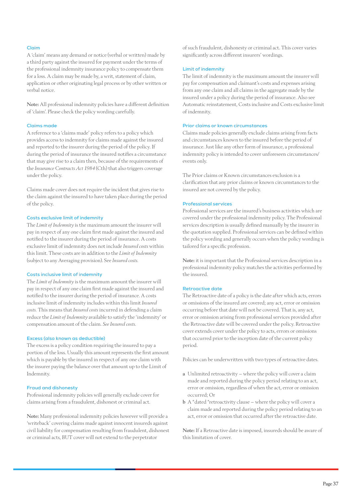### **Claim**

A 'claim' means any demand or notice (verbal or written) made by a third party against the insured for payment under the terms of the professional indemnity insurance policy to compensate them for a loss. A claim may be made by, a writ, statement of claim, application or other originating legal process or by other written or verbal notice.

Note: All professional indemnity policies have a different definition of 'claim'. Please check the policy wording carefully.

## **Claims made**

A reference to a 'claims made' policy refers to a policy which provides access to indemnity for claims made against the insured and reported to the insurer during the period of the policy. If during the period of insurance the insured notifies a circumstance that may give rise to a claim then, because of the requirements of the *Insurance Contracts Act 1984* (Cth) that also triggers coverage under the policy.

Claims made cover does not require the incident that gives rise to the claim against the insured to have taken place during the period of the policy.

## **Costs exclusive limit of indemnity**

The *Limit of Indemnity* is the maximum amount the insurer will pay in respect of any one claim first made against the insured and notified to the insurer during the period of insurance. A costs exclusive limit of indemnity does not include *Insured costs* within this limit. These costs are in addition to the *Limit of Indemnity*  (subject to any Averaging provision). See *Insured costs.*

## **Costs inclusive limit of indemnity**

The *Limit of Indemnity* is the maximum amount the insurer will pay in respect of any one claim first made against the insured and notified to the insurer during the period of insurance. A costs inclusive limit of indemnity includes within this limit *Insured costs.* This means that *Insured costs* incurred in defending a claim reduce the *Limit of Indemnity* available to satisfy the 'indemnity' or compensation amount of the claim. *See Insured costs.*

### **Excess (also known as deductible)**

The excess is a policy condition requiring the insured to pay a portion of the loss. Usually this amount represents the first amount which is payable by the insured in respect of any one claim with the insurer paying the balance over that amount up to the Limit of Indemnity.

### **Fraud and dishonesty**

Professional indemnity policies will generally exclude cover for claims arising from a fraudulent, dishonest or criminal act.

Note: Many professional indemnity policies however will provide a 'writeback' covering claims made against innocent insureds against civil liability for compensation resulting from fraudulent, dishonest or criminal acts, BUT cover will not extend to the perpetrator

of such fraudulent, dishonesty or criminal act. This cover varies significantly across different insurers' wordings.

### **Limit of indemnity**

The limit of indemnity is the maximum amount the insurer will pay for compensation and claimant's costs and expenses arising from any one claim and all claims in the aggregate made by the insured under a policy during the period of insurance. Also see Automatic reinstatement, Costs inclusive and Costs exclusive limit of indemnity.

## **Prior claims or known circumstances**

Claims made policies generally exclude claims arising from facts and circumstances known to the insured before the period of insurance. Just like any other form of insurance, a professional indemnity policy is intended to cover unforeseen circumstances/ events only.

The Prior claims or Known circumstances exclusion is a clarification that any prior claims or known circumstances to the insured are not covered by the policy.

### **Professional services**

Professional services are the insured's business activities which are covered under the professional indemnity policy. The Professional services description is usually defined manually by the insurer in the quotation supplied. Professional services can be defined within the policy wording and generally occurs when the policy wording is tailored for a specific profession.

Note: it is important that the Professional services description in a professional indemnity policy matches the activities performed by the insured.

## **Retroactive date**

The Retroactive date of a policy is the date after which acts, errors or omissions of the insured are covered; any act, error or omission occurring before that date will not be covered. That is, any act, error or omission arising from professional services provided after the Retroactive date will be covered under the policy. Retroactive cover extends cover under the policy to acts, errors or omissions that occurred prior to the inception date of the current policy period.

Policies can be underwritten with two types of retroactive dates.

- a Unlimited retroactivity where the policy will cover a claim made and reported during the policy period relating to an act, error or omission, regardless of when the act, error or omission occurred; Or
- b A "dated "retroactivity clause where the policy will cover a claim made and reported during the policy period relating to an act, error or omission that occurred after the retroactive date.

Note: If a Retroactive date is imposed, insureds should be aware of this limitation of cover.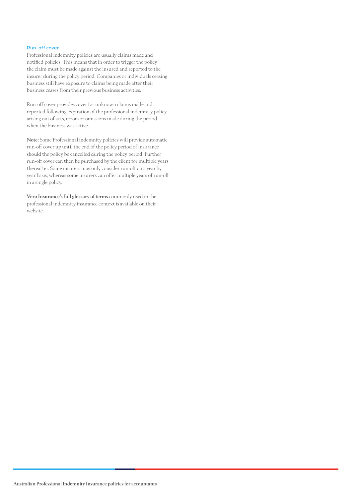### **Run-off cover**

Professional indemnity policies are usually claims made and notified policies. This means that in order to trigger the policy the claim must be made against the insured and reported to the insurer during the policy period. Companies or individuals ceasing business still have exposure to claims being made after their business ceases from their previous business activities.

Run-off cover provides cover for unknown claims made and reported following expiration of the professional indemnity policy, arising out of acts, errors or omissions made during the period when the business was active.

Note: Some Professional indemnity policies will provide automatic run-off cover up until the end of the policy period of insurance should the policy be cancelled during the policy period. Further run-off cover can then be purchased by the client for multiple years thereafter. Some insurers may only consider run-off on a year by year basis, whereas some insurers can offer multiple years of run-off in a single policy.

[Vero Insurance's full glossary of terms](http://www.vero.com.au/vero/sites/default/files/file/profin/vero-profin-professional-indemnity-glossary.pdf) commonly used in the professional indemnity insurance context is available on their website.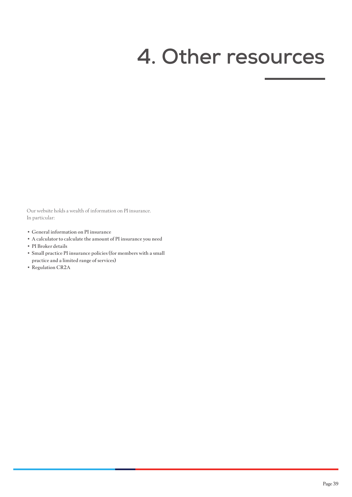# <span id="page-40-0"></span>**4. Other resources**

Our website holds a wealth of information on PI insurance. In particular:

- [General information on PI insurance](https://www.charteredaccountantsanz.com/member-services/being-in-public-practice/insurance-and-liability/professional-indemnity-insurance)
- [A calculator to calculate the amount of PI insurance you need](https://www.charteredaccountantsanz.com/tools-and-resources/practice-management/risk-management-and-quality-control/minimum-professional-indemnity-insurance-calculator)
- [PI Broker details](https://www.charteredaccountantsanz.com/member-services/being-in-public-practice/insurance-and-liability/professional-indemnity-insurance)
- [Small practice PI insurance policies \(for members with a small](https://www.charteredaccountantsanz.com/member-services/being-in-public-practice/insurance-and-liability/professional-indemnity-insurance)  [practice and a limited range of services\)](https://www.charteredaccountantsanz.com/member-services/being-in-public-practice/insurance-and-liability/professional-indemnity-insurance)
- [Regulation CR2A](http://membershandbook.charteredaccountants.com.au/im/resultDetailed.jsp?commentaries=AhICxX6AIR4JFJABRP6rZd&hitlist=index.jsp&commentaries=Ai0ped6AIR4JFJABRP6rZd&mappedTocId=Ai0ped6AIR4JFJABRP6rZd)